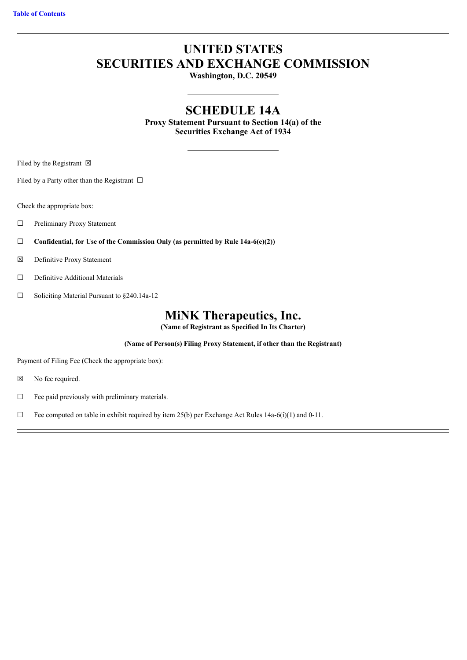# **UNITED STATES SECURITIES AND EXCHANGE COMMISSION**

**Washington, D.C. 20549**

# **SCHEDULE 14A**

**Proxy Statement Pursuant to Section 14(a) of the Securities Exchange Act of 1934**

Filed by the Registrant  $\boxtimes$ 

Filed by a Party other than the Registrant  $\Box$ 

Check the appropriate box:

- ☐ Preliminary Proxy Statement
- ☐ **Confidential, for Use of the Commission Only (as permitted by Rule 14a-6(e)(2))**
- ☒ Definitive Proxy Statement
- □ Definitive Additional Materials
- ☐ Soliciting Material Pursuant to §240.14a-12

# **MiNK Therapeutics, Inc.**

**(Name of Registrant as Specified In Its Charter)**

**(Name of Person(s) Filing Proxy Statement, if other than the Registrant)**

Payment of Filing Fee (Check the appropriate box):

- ☒ No fee required.
- ☐ Fee paid previously with preliminary materials.
- $\Box$  Fee computed on table in exhibit required by item 25(b) per Exchange Act Rules 14a-6(i)(1) and 0-11.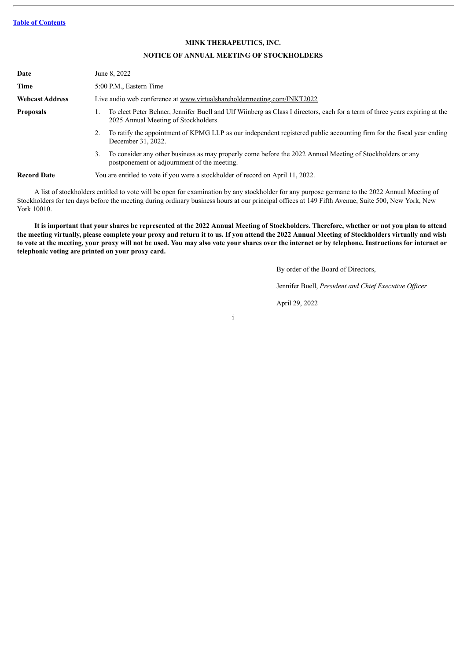# **MINK THERAPEUTICS, INC.**

# **NOTICE OF ANNUAL MEETING OF STOCKHOLDERS**

| Date                   | June 8, 2022                                                                                                                                                        |  |  |  |  |
|------------------------|---------------------------------------------------------------------------------------------------------------------------------------------------------------------|--|--|--|--|
| Time                   | 5:00 P.M., Eastern Time                                                                                                                                             |  |  |  |  |
| <b>Webcast Address</b> | Live audio web conference at www.virtualshareholdermeeting.com/INKT2022                                                                                             |  |  |  |  |
| <b>Proposals</b>       | To elect Peter Behner, Jennifer Buell and Ulf Wiinberg as Class I directors, each for a term of three years expiring at the<br>2025 Annual Meeting of Stockholders. |  |  |  |  |
|                        | To ratify the appointment of KPMG LLP as our independent registered public accounting firm for the fiscal year ending<br>2.<br>December 31, 2022.                   |  |  |  |  |
|                        | To consider any other business as may properly come before the 2022 Annual Meeting of Stockholders or any<br>3.<br>postponement or adjournment of the meeting.      |  |  |  |  |
| <b>Record Date</b>     | You are entitled to vote if you were a stockholder of record on April 11, 2022.                                                                                     |  |  |  |  |

A list of stockholders entitled to vote will be open for examination by any stockholder for any purpose germane to the 2022 Annual Meeting of Stockholders for ten days before the meeting during ordinary business hours at our principal offices at 149 Fifth Avenue, Suite 500, New York, New York 10010.

It is important that your shares be represented at the 2022 Annual Meeting of Stockholders. Therefore, whether or not you plan to attend the meeting virtually, please complete your proxy and return it to us. If you attend the 2022 Annual Meeting of Stockholders virtually and wish to vote at the meeting, your proxy will not be used. You may also vote your shares over the internet or by telephone. Instructions for internet or **telephonic voting are printed on your proxy card.**

By order of the Board of Directors,

Jennifer Buell, *President and Chief Executive Of icer*

April 29, 2022

i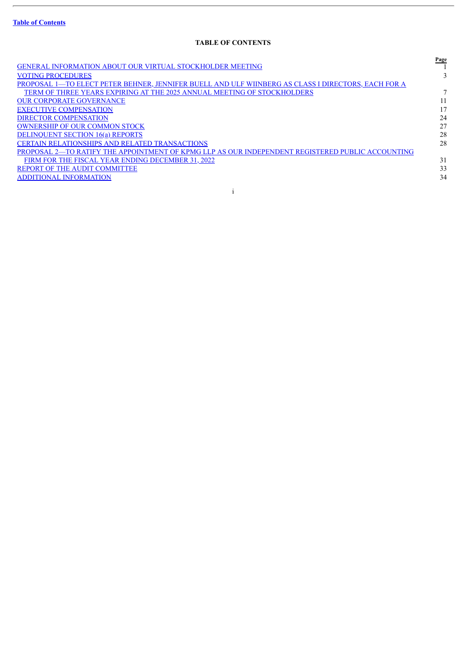$\overline{a}$ 

# **TABLE OF CONTENTS**

<span id="page-2-0"></span>

|                                                                                                    | Page |
|----------------------------------------------------------------------------------------------------|------|
| <b>GENERAL INFORMATION ABOUT OUR VIRTUAL STOCKHOLDER MEETING</b>                                   |      |
| <b>VOTING PROCEDURES</b>                                                                           |      |
| PROPOSAL 1—TO ELECT PETER BEHNER, JENNIFER BUELL AND ULF WIINBERG AS CLASS I DIRECTORS, EACH FOR A |      |
| TERM OF THREE YEARS EXPIRING AT THE 2025 ANNUAL MEETING OF STOCKHOLDERS                            |      |
| <b>OUR CORPORATE GOVERNANCE</b>                                                                    |      |
| <b>EXECUTIVE COMPENSATION</b>                                                                      | 17   |
| <b>DIRECTOR COMPENSATION</b>                                                                       | 24   |
| <b>OWNERSHIP OF OUR COMMON STOCK</b>                                                               | 27   |
| <b>DELINQUENT SECTION 16(a) REPORTS</b>                                                            | 28   |
| <b>CERTAIN RELATIONSHIPS AND RELATED TRANSACTIONS</b>                                              | 28   |
| PROPOSAL 2-TO RATIFY THE APPOINTMENT OF KPMG LLP AS OUR INDEPENDENT REGISTERED PUBLIC ACCOUNTING   |      |
| FIRM FOR THE FISCAL YEAR ENDING DECEMBER 31, 2022                                                  | 31   |
| <b>REPORT OF THE AUDIT COMMITTEE</b>                                                               | 33   |
| <b>ADDITIONAL INFORMATION</b>                                                                      | 34   |
|                                                                                                    |      |
|                                                                                                    |      |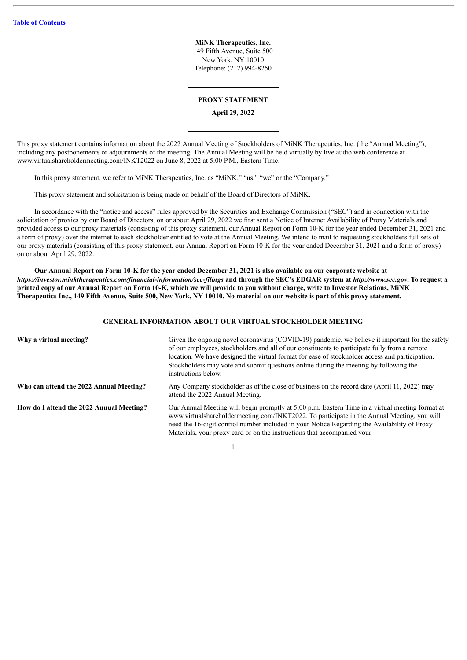**MiNK Therapeutics, Inc.** 149 Fifth Avenue, Suite 500 New York, NY 10010 Telephone: (212) 994-8250

# **PROXY STATEMENT**

**April 29, 2022**

This proxy statement contains information about the 2022 Annual Meeting of Stockholders of MiNK Therapeutics, Inc. (the "Annual Meeting"), including any postponements or adjournments of the meeting. The Annual Meeting will be held virtually by live audio web conference at www.virtualshareholdermeeting.com/INKT2022 on June 8, 2022 at 5:00 P.M., Eastern Time.

In this proxy statement, we refer to MiNK Therapeutics, Inc. as "MiNK," "us," "we" or the "Company."

This proxy statement and solicitation is being made on behalf of the Board of Directors of MiNK.

In accordance with the "notice and access" rules approved by the Securities and Exchange Commission ("SEC") and in connection with the solicitation of proxies by our Board of Directors, on or about April 29, 2022 we first sent a Notice of Internet Availability of Proxy Materials and provided access to our proxy materials (consisting of this proxy statement, our Annual Report on Form 10-K for the year ended December 31, 2021 and a form of proxy) over the internet to each stockholder entitled to vote at the Annual Meeting. We intend to mail to requesting stockholders full sets of our proxy materials (consisting of this proxy statement, our Annual Report on Form 10-K for the year ended December 31, 2021 and a form of proxy) on or about April 29, 2022.

Our Annual Report on Form 10-K for the year ended December 31, 2021 is also available on our corporate website at https://investor.minktherapeutics.com/financial-information/sec-filings and through the SEC's EDGAR system at http://www.sec.gov. To request a printed copy of our Annual Report on Form 10-K, which we will provide to you without charge, write to Investor Relations, MiNK Therapeutics Inc., 149 Fifth Avenue, Suite 500, New York, NY 10010. No material on our website is part of this proxy statement.

# **GENERAL INFORMATION ABOUT OUR VIRTUAL STOCKHOLDER MEETING**

<span id="page-3-0"></span>

| Why a virtual meeting?                   | Given the ongoing novel coronavirus (COVID-19) pandemic, we believe it important for the safety<br>of our employees, stockholders and all of our constituents to participate fully from a remote<br>location. We have designed the virtual format for ease of stockholder access and participation.<br>Stockholders may vote and submit questions online during the meeting by following the<br>instructions below. |
|------------------------------------------|---------------------------------------------------------------------------------------------------------------------------------------------------------------------------------------------------------------------------------------------------------------------------------------------------------------------------------------------------------------------------------------------------------------------|
| Who can attend the 2022 Annual Meeting?  | Any Company stockholder as of the close of business on the record date (April 11, 2022) may<br>attend the 2022 Annual Meeting.                                                                                                                                                                                                                                                                                      |
| How do I attend the 2022 Annual Meeting? | Our Annual Meeting will begin promptly at 5:00 p.m. Eastern Time in a virtual meeting format at<br>www.virtualshareholdermeeting.com/INKT2022. To participate in the Annual Meeting, you will<br>need the 16-digit control number included in your Notice Regarding the Availability of Proxy<br>Materials, your proxy card or on the instructions that accompanied your                                            |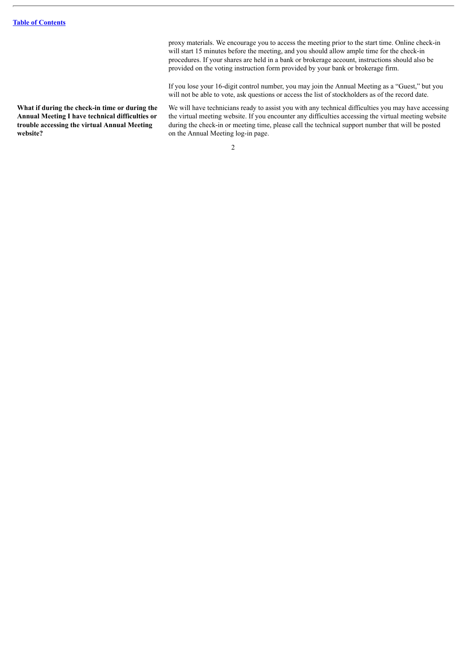**What if during the check-in time or during the Annual Meeting I have technical difficulties or trouble accessing the virtual Annual Meeting website?**

proxy materials. We encourage you to access the meeting prior to the start time. Online check-in will start 15 minutes before the meeting, and you should allow ample time for the check-in procedures. If your shares are held in a bank or brokerage account, instructions should also be provided on the voting instruction form provided by your bank or brokerage firm.

If you lose your 16-digit control number, you may join the Annual Meeting as a "Guest," but you will not be able to vote, ask questions or access the list of stockholders as of the record date.

We will have technicians ready to assist you with any technical difficulties you may have accessing the virtual meeting website. If you encounter any difficulties accessing the virtual meeting website during the check-in or meeting time, please call the technical support number that will be posted on the Annual Meeting log-in page.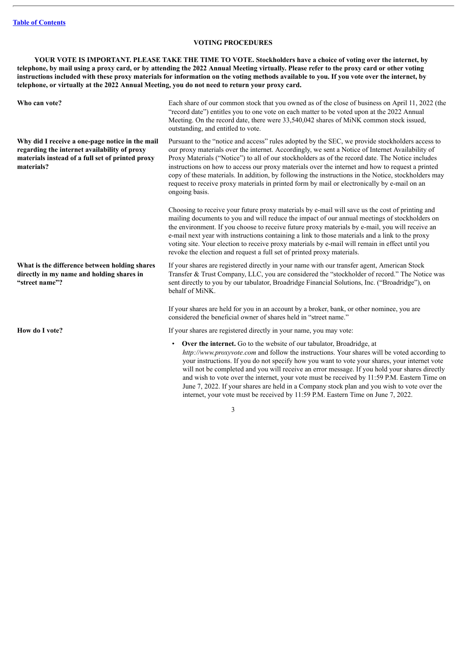# **VOTING PROCEDURES**

<span id="page-5-0"></span>YOUR VOTE IS IMPORTANT. PLEASE TAKE THE TIME TO VOTE. Stockholders have a choice of voting over the internet, by telephone, by mail using a proxy card, or by attending the 2022 Annual Meeting virtually. Please refer to the proxy card or other voting instructions included with these proxy materials for information on the voting methods available to you. If you vote over the internet, by **telephone, or virtually at the 2022 Annual Meeting, you do not need to return your proxy card.**

| Who can vote?                                                                                                                                                     | Each share of our common stock that you owned as of the close of business on April 11, 2022 (the<br>"record date") entitles you to one vote on each matter to be voted upon at the 2022 Annual<br>Meeting. On the record date, there were 33,540,042 shares of MiNK common stock issued,<br>outstanding, and entitled to vote.                                                                                                                                                                                                                                                                                                       |
|-------------------------------------------------------------------------------------------------------------------------------------------------------------------|--------------------------------------------------------------------------------------------------------------------------------------------------------------------------------------------------------------------------------------------------------------------------------------------------------------------------------------------------------------------------------------------------------------------------------------------------------------------------------------------------------------------------------------------------------------------------------------------------------------------------------------|
| Why did I receive a one-page notice in the mail<br>regarding the internet availability of proxy<br>materials instead of a full set of printed proxy<br>materials? | Pursuant to the "notice and access" rules adopted by the SEC, we provide stockholders access to<br>our proxy materials over the internet. Accordingly, we sent a Notice of Internet Availability of<br>Proxy Materials ("Notice") to all of our stockholders as of the record date. The Notice includes<br>instructions on how to access our proxy materials over the internet and how to request a printed<br>copy of these materials. In addition, by following the instructions in the Notice, stockholders may<br>request to receive proxy materials in printed form by mail or electronically by e-mail on an<br>ongoing basis. |
|                                                                                                                                                                   | Choosing to receive your future proxy materials by e-mail will save us the cost of printing and<br>mailing documents to you and will reduce the impact of our annual meetings of stockholders on<br>the environment. If you choose to receive future proxy materials by e-mail, you will receive an<br>e-mail next year with instructions containing a link to those materials and a link to the proxy<br>voting site. Your election to receive proxy materials by e-mail will remain in effect until you<br>revoke the election and request a full set of printed proxy materials.                                                  |
| What is the difference between holding shares<br>directly in my name and holding shares in<br>"street name"?                                                      | If your shares are registered directly in your name with our transfer agent, American Stock<br>Transfer & Trust Company, LLC, you are considered the "stockholder of record." The Notice was<br>sent directly to you by our tabulator, Broadridge Financial Solutions, Inc. ("Broadridge"), on<br>behalf of MiNK.                                                                                                                                                                                                                                                                                                                    |
|                                                                                                                                                                   | If your shares are held for you in an account by a broker, bank, or other nominee, you are<br>considered the beneficial owner of shares held in "street name."                                                                                                                                                                                                                                                                                                                                                                                                                                                                       |
| How do I vote?                                                                                                                                                    | If your shares are registered directly in your name, you may vote:                                                                                                                                                                                                                                                                                                                                                                                                                                                                                                                                                                   |
|                                                                                                                                                                   | Over the internet. Go to the website of our tabulator, Broadridge, at<br>http://www.proxyvote.com and follow the instructions. Your shares will be voted according to                                                                                                                                                                                                                                                                                                                                                                                                                                                                |

internet, your vote must be received by 11:59 P.M. Eastern Time on June 7, 2022. 3

your instructions. If you do not specify how you want to vote your shares, your internet vote will not be completed and you will receive an error message. If you hold your shares directly and wish to vote over the internet, your vote must be received by 11:59 P.M. Eastern Time on June 7, 2022. If your shares are held in a Company stock plan and you wish to vote over the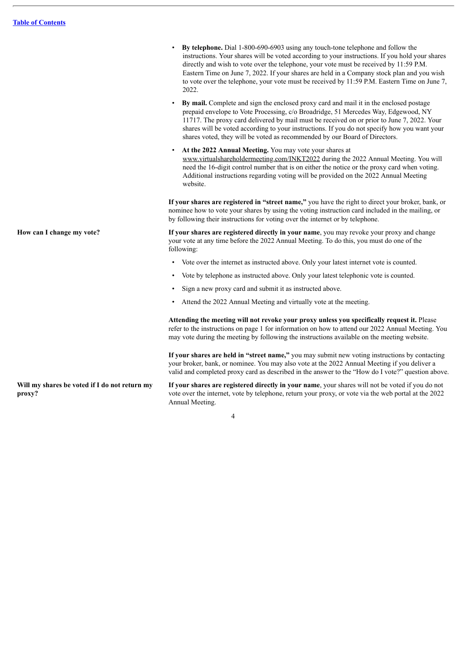• **By telephone.** Dial 1-800-690-6903 using any touch-tone telephone and follow the instructions. Your shares will be voted according to your instructions. If you hold your shares directly and wish to vote over the telephone, your vote must be received by 11:59 P.M. Eastern Time on June 7, 2022. If your shares are held in a Company stock plan and you wish to vote over the telephone, your vote must be received by 11:59 P.M. Eastern Time on June 7, 2022. • **By mail.** Complete and sign the enclosed proxy card and mail it in the enclosed postage prepaid envelope to Vote Processing, c/o Broadridge, 51 Mercedes Way, Edgewood, NY 11717. The proxy card delivered by mail must be received on or prior to June 7, 2022. Your shares will be voted according to your instructions. If you do not specify how you want your shares voted, they will be voted as recommended by our Board of Directors. • **At the 2022 Annual Meeting.** You may vote your shares at www.virtualshareholdermeeting.com/INKT2022 during the 2022 Annual Meeting. You will need the 16-digit control number that is on either the notice or the proxy card when voting. Additional instructions regarding voting will be provided on the 2022 Annual Meeting website. **If your shares are registered in "street name,"** you have the right to direct your broker, bank, or nominee how to vote your shares by using the voting instruction card included in the mailing, or by following their instructions for voting over the internet or by telephone. **How can I change my vote? If your shares are registered directly in your name**, you may revoke your proxy and change your vote at any time before the 2022 Annual Meeting. To do this, you must do one of the following: Vote over the internet as instructed above. Only your latest internet vote is counted. • Vote by telephone as instructed above. Only your latest telephonic vote is counted. Sign a new proxy card and submit it as instructed above. Attend the 2022 Annual Meeting and virtually vote at the meeting. **Attending the meeting will not revoke your proxy unless you specifically request it.** Please refer to the instructions on page 1 for information on how to attend our 2022 Annual Meeting. You may vote during the meeting by following the instructions available on the meeting website. **If your shares are held in "street name,"** you may submit new voting instructions by contacting your broker, bank, or nominee. You may also vote at the 2022 Annual Meeting if you deliver a valid and completed proxy card as described in the answer to the "How do I vote?" question above. **Will my shares be voted if I do not return my proxy? If your shares are registered directly in your name**, your shares will not be voted if you do not vote over the internet, vote by telephone, return your proxy, or vote via the web portal at the 2022

4

Annual Meeting.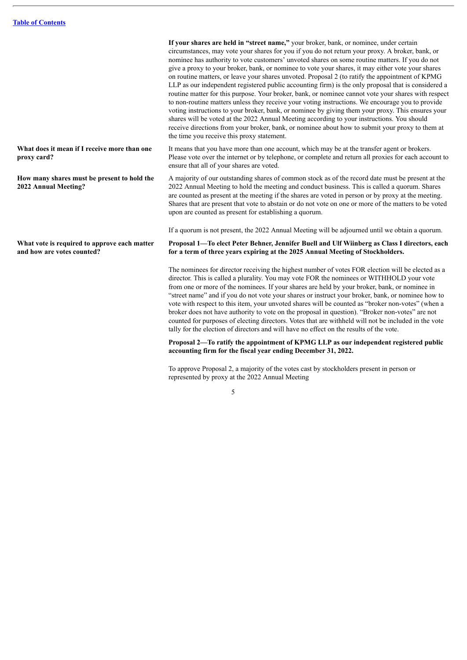nominee has authority to vote customers' unvoted shares on some routine matters. If you do not give a proxy to your broker, bank, or nominee to vote your shares, it may either vote your shares on routine matters, or leave your shares unvoted. Proposal 2 (to ratify the appointment of KPMG LLP as our independent registered public accounting firm) is the only proposal that is considered a routine matter for this purpose. Your broker, bank, or nominee cannot vote your shares with respect to non-routine matters unless they receive your voting instructions. We encourage you to provide voting instructions to your broker, bank, or nominee by giving them your proxy. This ensures your shares will be voted at the 2022 Annual Meeting according to your instructions. You should receive directions from your broker, bank, or nominee about how to submit your proxy to them at the time you receive this proxy statement. **What does it mean if I receive more than one proxy card?** It means that you have more than one account, which may be at the transfer agent or brokers. Please vote over the internet or by telephone, or complete and return all proxies for each account to ensure that all of your shares are voted. **How many shares must be present to hold the 2022 Annual Meeting?** A majority of our outstanding shares of common stock as of the record date must be present at the 2022 Annual Meeting to hold the meeting and conduct business. This is called a quorum. Shares are counted as present at the meeting if the shares are voted in person or by proxy at the meeting. Shares that are present that vote to abstain or do not vote on one or more of the matters to be voted upon are counted as present for establishing a quorum. If a quorum is not present, the 2022 Annual Meeting will be adjourned until we obtain a quorum. **What vote is required to approve each matter and how are votes counted? Proposal 1—To elect Peter Behner, Jennifer Buell and Ulf Wiinberg as Class I directors, each for a term of three years expiring at the 2025 Annual Meeting of Stockholders.**

The nominees for director receiving the highest number of votes FOR election will be elected as a director. This is called a plurality. You may vote FOR the nominees or WITHHOLD your vote from one or more of the nominees. If your shares are held by your broker, bank, or nominee in "street name" and if you do not vote your shares or instruct your broker, bank, or nominee how to vote with respect to this item, your unvoted shares will be counted as "broker non-votes" (when a broker does not have authority to vote on the proposal in question). "Broker non-votes" are not counted for purposes of electing directors. Votes that are withheld will not be included in the vote tally for the election of directors and will have no effect on the results of the vote.

**If your shares are held in "street name,"** your broker, bank, or nominee, under certain circumstances, may vote your shares for you if you do not return your proxy. A broker, bank, or

**Proposal 2—To ratify the appointment of KPMG LLP as our independent registered public accounting firm for the fiscal year ending December 31, 2022.**

To approve Proposal 2, a majority of the votes cast by stockholders present in person or represented by proxy at the 2022 Annual Meeting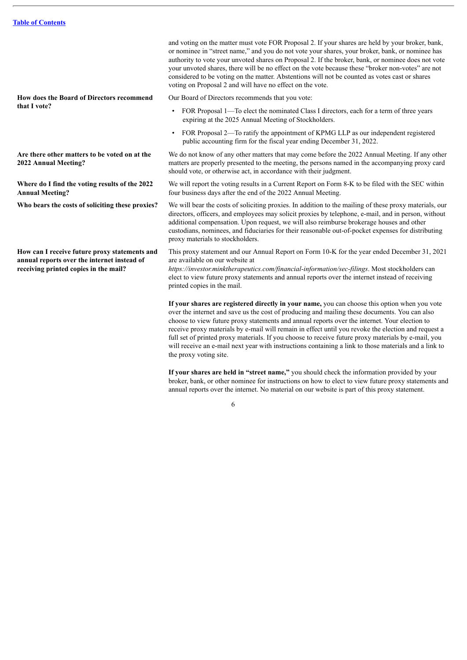**How does the Board of Directors recommend that I vote?**

**Are there other matters to be voted on at the 2022 Annual Meeting?**

**Where do I find the voting results of the 2022 Annual Meeting?**

**How can I receive future proxy statements and annual reports over the internet instead of receiving printed copies in the mail?**

and voting on the matter must vote FOR Proposal 2. If your shares are held by your broker, bank, or nominee in "street name," and you do not vote your shares, your broker, bank, or nominee has authority to vote your unvoted shares on Proposal 2. If the broker, bank, or nominee does not vote your unvoted shares, there will be no effect on the vote because these "broker non-votes" are not considered to be voting on the matter. Abstentions will not be counted as votes cast or shares voting on Proposal 2 and will have no effect on the vote.

Our Board of Directors recommends that you vote:

- FOR Proposal 1—To elect the nominated Class I directors, each for a term of three years expiring at the 2025 Annual Meeting of Stockholders.
- FOR Proposal 2—To ratify the appointment of KPMG LLP as our independent registered public accounting firm for the fiscal year ending December 31, 2022.

We do not know of any other matters that may come before the 2022 Annual Meeting. If any other matters are properly presented to the meeting, the persons named in the accompanying proxy card should vote, or otherwise act, in accordance with their judgment.

We will report the voting results in a Current Report on Form 8-K to be filed with the SEC within four business days after the end of the 2022 Annual Meeting.

**Who bears the costs of soliciting these proxies?** We will bear the costs of soliciting proxies. In addition to the mailing of these proxy materials, our directors, officers, and employees may solicit proxies by telephone, e-mail, and in person, without additional compensation. Upon request, we will also reimburse brokerage houses and other custodians, nominees, and fiduciaries for their reasonable out-of-pocket expenses for distributing proxy materials to stockholders.

> This proxy statement and our Annual Report on Form 10-K for the year ended December 31, 2021 are available on our website at

*https://investor.minktherapeutics.com/financial-information/sec-filings*. Most stockholders can elect to view future proxy statements and annual reports over the internet instead of receiving printed copies in the mail.

**If your shares are registered directly in your name,** you can choose this option when you vote over the internet and save us the cost of producing and mailing these documents. You can also choose to view future proxy statements and annual reports over the internet. Your election to receive proxy materials by e-mail will remain in effect until you revoke the election and request a full set of printed proxy materials. If you choose to receive future proxy materials by e-mail, you will receive an e-mail next year with instructions containing a link to those materials and a link to the proxy voting site.

**If your shares are held in "street name,"** you should check the information provided by your broker, bank, or other nominee for instructions on how to elect to view future proxy statements and annual reports over the internet. No material on our website is part of this proxy statement.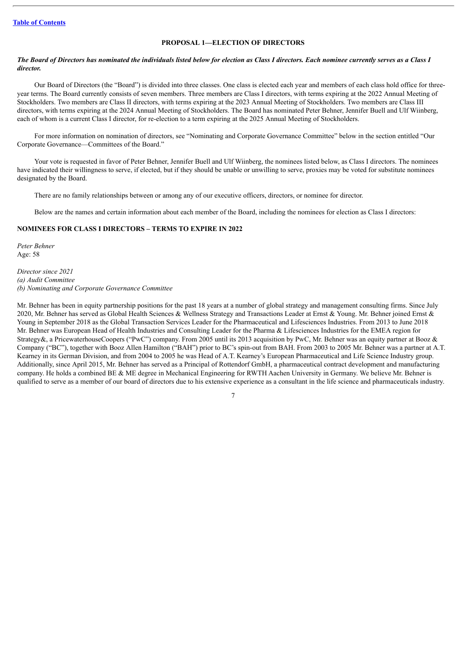# **PROPOSAL 1—ELECTION OF DIRECTORS**

### <span id="page-9-0"></span>The Board of Directors has nominated the individuals listed below for election as Class I directors. Each nominee currently serves as a Class I *director.*

Our Board of Directors (the "Board") is divided into three classes. One class is elected each year and members of each class hold office for threeyear terms. The Board currently consists of seven members. Three members are Class I directors, with terms expiring at the 2022 Annual Meeting of Stockholders. Two members are Class II directors, with terms expiring at the 2023 Annual Meeting of Stockholders. Two members are Class III directors, with terms expiring at the 2024 Annual Meeting of Stockholders. The Board has nominated Peter Behner, Jennifer Buell and Ulf Wiinberg, each of whom is a current Class I director, for re-election to a term expiring at the 2025 Annual Meeting of Stockholders.

For more information on nomination of directors, see "Nominating and Corporate Governance Committee" below in the section entitled "Our Corporate Governance—Committees of the Board."

Your vote is requested in favor of Peter Behner, Jennifer Buell and Ulf Wiinberg, the nominees listed below, as Class I directors. The nominees have indicated their willingness to serve, if elected, but if they should be unable or unwilling to serve, proxies may be voted for substitute nominees designated by the Board.

There are no family relationships between or among any of our executive officers, directors, or nominee for director.

Below are the names and certain information about each member of the Board, including the nominees for election as Class I directors:

# **NOMINEES FOR CLASS I DIRECTORS – TERMS TO EXPIRE IN 2022**

*Peter Behner* Age: 58

*Director since 2021 (a) Audit Committee (b) Nominating and Corporate Governance Committee*

Mr. Behner has been in equity partnership positions for the past 18 years at a number of global strategy and management consulting firms. Since July 2020, Mr. Behner has served as Global Health Sciences & Wellness Strategy and Transactions Leader at Ernst & Young. Mr. Behner joined Ernst & Young in September 2018 as the Global Transaction Services Leader for the Pharmaceutical and Lifesciences Industries. From 2013 to June 2018 Mr. Behner was European Head of Health Industries and Consulting Leader for the Pharma & Lifesciences Industries for the EMEA region for Strategy&, a PricewaterhouseCoopers ("PwC") company. From 2005 until its 2013 acquisition by PwC, Mr. Behner was an equity partner at Booz & Company ("BC"), together with Booz Allen Hamilton ("BAH") prior to BC's spin-out from BAH. From 2003 to 2005 Mr. Behner was a partner at A.T. Kearney in its German Division, and from 2004 to 2005 he was Head of A.T. Kearney's European Pharmaceutical and Life Science Industry group. Additionally, since April 2015, Mr. Behner has served as a Principal of Rottendorf GmbH, a pharmaceutical contract development and manufacturing company. He holds a combined BE & ME degree in Mechanical Engineering for RWTH Aachen University in Germany. We believe Mr. Behner is qualified to serve as a member of our board of directors due to his extensive experience as a consultant in the life science and pharmaceuticals industry.

 $\overline{7}$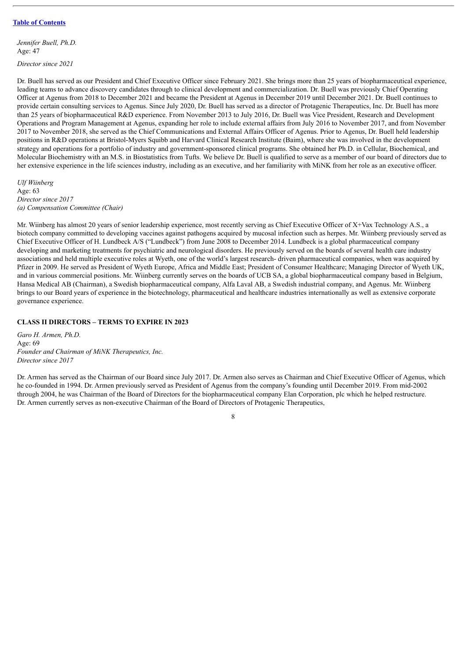*Jennifer Buell, Ph.D.* Age: 47

*Director since 2021*

Dr. Buell has served as our President and Chief Executive Officer since February 2021. She brings more than 25 years of biopharmaceutical experience, leading teams to advance discovery candidates through to clinical development and commercialization. Dr. Buell was previously Chief Operating Officer at Agenus from 2018 to December 2021 and became the President at Agenus in December 2019 until December 2021. Dr. Buell continues to provide certain consulting services to Agenus. Since July 2020, Dr. Buell has served as a director of Protagenic Therapeutics, Inc. Dr. Buell has more than 25 years of biopharmaceutical R&D experience. From November 2013 to July 2016, Dr. Buell was Vice President, Research and Development Operations and Program Management at Agenus, expanding her role to include external affairs from July 2016 to November 2017, and from November 2017 to November 2018, she served as the Chief Communications and External Affairs Officer of Agenus. Prior to Agenus, Dr. Buell held leadership positions in R&D operations at Bristol-Myers Squibb and Harvard Clinical Research Institute (Baim), where she was involved in the development strategy and operations for a portfolio of industry and government-sponsored clinical programs. She obtained her Ph.D. in Cellular, Biochemical, and Molecular Biochemistry with an M.S. in Biostatistics from Tufts. We believe Dr. Buell is qualified to serve as a member of our board of directors due to her extensive experience in the life sciences industry, including as an executive, and her familiarity with MiNK from her role as an executive officer.

*Ulf Wiinberg* Age: 63 *Director since 2017 (a) Compensation Committee (Chair)*

Mr. Wiinberg has almost 20 years of senior leadership experience, most recently serving as Chief Executive Officer of X+Vax Technology A.S., a biotech company committed to developing vaccines against pathogens acquired by mucosal infection such as herpes. Mr. Wiinberg previously served as Chief Executive Officer of H. Lundbeck A/S ("Lundbeck") from June 2008 to December 2014. Lundbeck is a global pharmaceutical company developing and marketing treatments for psychiatric and neurological disorders. He previously served on the boards of several health care industry associations and held multiple executive roles at Wyeth, one of the world's largest research- driven pharmaceutical companies, when was acquired by Pfizer in 2009. He served as President of Wyeth Europe, Africa and Middle East; President of Consumer Healthcare; Managing Director of Wyeth UK, and in various commercial positions. Mr. Wiinberg currently serves on the boards of UCB SA, a global biopharmaceutical company based in Belgium, Hansa Medical AB (Chairman), a Swedish biopharmaceutical company, Alfa Laval AB, a Swedish industrial company, and Agenus. Mr. Wiinberg brings to our Board years of experience in the biotechnology, pharmaceutical and healthcare industries internationally as well as extensive corporate governance experience.

# **CLASS II DIRECTORS – TERMS TO EXPIRE IN 2023**

*Garo H. Armen, Ph.D.* Age: 69 *Founder and Chairman of MiNK Therapeutics, Inc. Director since 2017*

Dr. Armen has served as the Chairman of our Board since July 2017. Dr. Armen also serves as Chairman and Chief Executive Officer of Agenus, which he co-founded in 1994. Dr. Armen previously served as President of Agenus from the company's founding until December 2019. From mid-2002 through 2004, he was Chairman of the Board of Directors for the biopharmaceutical company Elan Corporation, plc which he helped restructure. Dr. Armen currently serves as non-executive Chairman of the Board of Directors of Protagenic Therapeutics,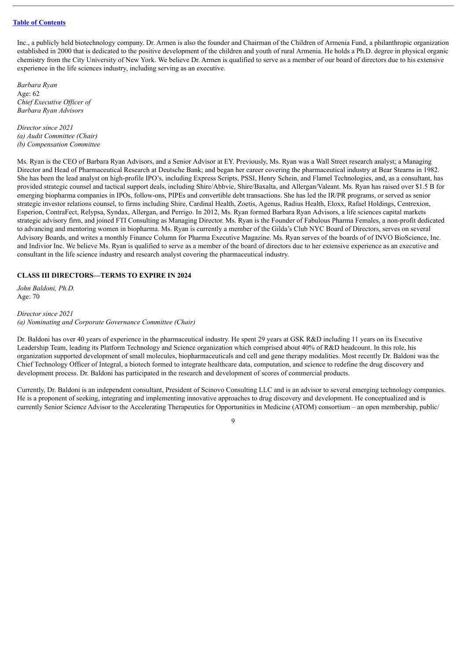Inc., a publicly held biotechnology company. Dr. Armen is also the founder and Chairman of the Children of Armenia Fund, a philanthropic organization established in 2000 that is dedicated to the positive development of the children and youth of rural Armenia. He holds a Ph.D. degree in physical organic chemistry from the City University of New York. We believe Dr. Armen is qualified to serve as a member of our board of directors due to his extensive experience in the life sciences industry, including serving as an executive.

*Barbara Ryan* Age: 62 *Chief Executive Of icer of Barbara Ryan Advisors*

*Director since 2021 (a) Audit Committee (Chair) (b) Compensation Committee*

Ms. Ryan is the CEO of Barbara Ryan Advisors, and a Senior Advisor at EY. Previously, Ms. Ryan was a Wall Street research analyst; a Managing Director and Head of Pharmaceutical Research at Deutsche Bank; and began her career covering the pharmaceutical industry at Bear Stearns in 1982. She has been the lead analyst on high-profile IPO's, including Express Scripts, PSSI, Henry Schein, and Flamel Technologies, and, as a consultant, has provided strategic counsel and tactical support deals, including Shire/Abbvie, Shire/Baxalta, and Allergan/Valeant. Ms. Ryan has raised over \$1.5 B for emerging biopharma companies in IPOs, follow-ons, PIPEs and convertible debt transactions. She has led the IR/PR programs, or served as senior strategic investor relations counsel, to firms including Shire, Cardinal Health, Zoetis, Agenus, Radius Health, Eloxx, Rafael Holdings, Centrexion, Esperion, ContraFect, Relypsa, Syndax, Allergan, and Perrigo. In 2012, Ms. Ryan formed Barbara Ryan Advisors, a life sciences capital markets strategic advisory firm, and joined FTI Consulting as Managing Director. Ms. Ryan is the Founder of Fabulous Pharma Females, a non-profit dedicated to advancing and mentoring women in biopharma. Ms. Ryan is currently a member of the Gilda's Club NYC Board of Directors, serves on several Advisory Boards, and writes a monthly Finance Column for Pharma Executive Magazine. Ms. Ryan serves of the boards of of INVO BioScience, Inc. and Indivior Inc. We believe Ms. Ryan is qualified to serve as a member of the board of directors due to her extensive experience as an executive and consultant in the life science industry and research analyst covering the pharmaceutical industry.

# **CLASS III DIRECTORS—TERMS TO EXPIRE IN 2024**

*John Baldoni, Ph.D.* Age: 70

#### *Director since 2021*

*(a) Nominating and Corporate Governance Committee (Chair)*

Dr. Baldoni has over 40 years of experience in the pharmaceutical industry. He spent 29 years at GSK R&D including 11 years on its Executive Leadership Team, leading its Platform Technology and Science organization which comprised about 40% of R&D headcount. In this role, his organization supported development of small molecules, biopharmaceuticals and cell and gene therapy modalities. Most recently Dr. Baldoni was the Chief Technology Officer of Integral, a biotech formed to integrate healthcare data, computation, and science to redefine the drug discovery and development process. Dr. Baldoni has participated in the research and development of scores of commercial products.

Currently, Dr. Baldoni is an independent consultant, President of Scinovo Consulting LLC and is an advisor to several emerging technology companies. He is a proponent of seeking, integrating and implementing innovative approaches to drug discovery and development. He conceptualized and is currently Senior Science Advisor to the Accelerating Therapeutics for Opportunities in Medicine (ATOM) consortium – an open membership, public/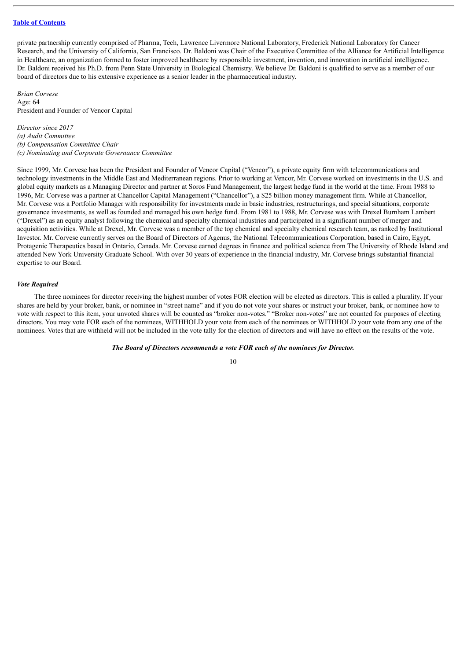private partnership currently comprised of Pharma, Tech, Lawrence Livermore National Laboratory, Frederick National Laboratory for Cancer Research, and the University of California, San Francisco. Dr. Baldoni was Chair of the Executive Committee of the Alliance for Artificial Intelligence in Healthcare, an organization formed to foster improved healthcare by responsible investment, invention, and innovation in artificial intelligence. Dr. Baldoni received his Ph.D. from Penn State University in Biological Chemistry. We believe Dr. Baldoni is qualified to serve as a member of our board of directors due to his extensive experience as a senior leader in the pharmaceutical industry.

*Brian Corvese* Age: 64 President and Founder of Vencor Capital

*Director since 2017 (a) Audit Committee (b) Compensation Committee Chair (c) Nominating and Corporate Governance Committee*

Since 1999, Mr. Corvese has been the President and Founder of Vencor Capital ("Vencor"), a private equity firm with telecommunications and technology investments in the Middle East and Mediterranean regions. Prior to working at Vencor, Mr. Corvese worked on investments in the U.S. and global equity markets as a Managing Director and partner at Soros Fund Management, the largest hedge fund in the world at the time. From 1988 to 1996, Mr. Corvese was a partner at Chancellor Capital Management ("Chancellor"), a \$25 billion money management firm. While at Chancellor, Mr. Corvese was a Portfolio Manager with responsibility for investments made in basic industries, restructurings, and special situations, corporate governance investments, as well as founded and managed his own hedge fund. From 1981 to 1988, Mr. Corvese was with Drexel Burnham Lambert  $^{\prime}$  ("Drexel") as an equity analyst following the chemical and specialty chemical industries and participated in a significant number of merger and acquisition activities. While at Drexel, Mr. Corvese was a member of the top chemical and specialty chemical research team, as ranked by Institutional Investor. Mr. Corvese currently serves on the Board of Directors of Agenus, the National Telecommunications Corporation, based in Cairo, Egypt, Protagenic Therapeutics based in Ontario, Canada. Mr. Corvese earned degrees in finance and political science from The University of Rhode Island and attended New York University Graduate School. With over 30 years of experience in the financial industry, Mr. Corvese brings substantial financial expertise to our Board.

#### *Vote Required*

The three nominees for director receiving the highest number of votes FOR election will be elected as directors. This is called a plurality. If your shares are held by your broker, bank, or nominee in "street name" and if you do not vote your shares or instruct your broker, bank, or nominee how to vote with respect to this item, your unvoted shares will be counted as "broker non-votes." "Broker non-votes" are not counted for purposes of electing directors. You may vote FOR each of the nominees, WITHHOLD your vote from each of the nominees or WITHHOLD your vote from any one of the nominees. Votes that are withheld will not be included in the vote tally for the election of directors and will have no effect on the results of the vote.

*The Board of Directors recommends a vote FOR each of the nominees for Director.*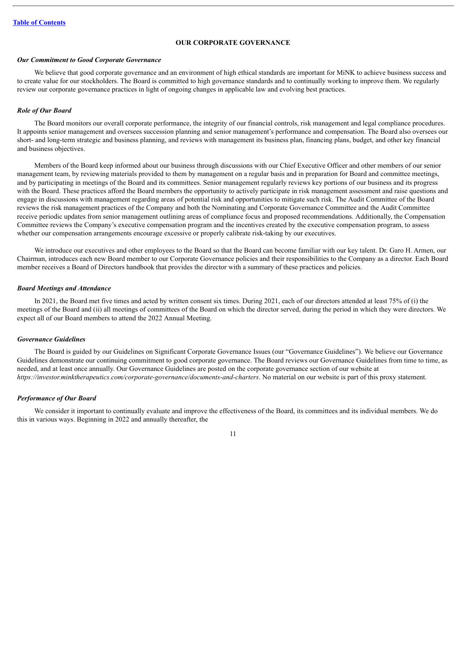# **OUR CORPORATE GOVERNANCE**

# <span id="page-13-0"></span>*Our Commitment to Good Corporate Governance*

We believe that good corporate governance and an environment of high ethical standards are important for MiNK to achieve business success and to create value for our stockholders. The Board is committed to high governance standards and to continually working to improve them. We regularly review our corporate governance practices in light of ongoing changes in applicable law and evolving best practices.

#### *Role of Our Board*

The Board monitors our overall corporate performance, the integrity of our financial controls, risk management and legal compliance procedures. It appoints senior management and oversees succession planning and senior management's performance and compensation. The Board also oversees our short- and long-term strategic and business planning, and reviews with management its business plan, financing plans, budget, and other key financial and business objectives.

Members of the Board keep informed about our business through discussions with our Chief Executive Officer and other members of our senior management team, by reviewing materials provided to them by management on a regular basis and in preparation for Board and committee meetings, and by participating in meetings of the Board and its committees. Senior management regularly reviews key portions of our business and its progress with the Board. These practices afford the Board members the opportunity to actively participate in risk management assessment and raise questions and engage in discussions with management regarding areas of potential risk and opportunities to mitigate such risk. The Audit Committee of the Board reviews the risk management practices of the Company and both the Nominating and Corporate Governance Committee and the Audit Committee receive periodic updates from senior management outlining areas of compliance focus and proposed recommendations. Additionally, the Compensation Committee reviews the Company's executive compensation program and the incentives created by the executive compensation program, to assess whether our compensation arrangements encourage excessive or properly calibrate risk-taking by our executives.

We introduce our executives and other employees to the Board so that the Board can become familiar with our key talent. Dr. Garo H. Armen, our Chairman, introduces each new Board member to our Corporate Governance policies and their responsibilities to the Company as a director. Each Board member receives a Board of Directors handbook that provides the director with a summary of these practices and policies.

#### *Board Meetings and Attendance*

In 2021, the Board met five times and acted by written consent six times. During 2021, each of our directors attended at least 75% of (i) the meetings of the Board and (ii) all meetings of committees of the Board on which the director served, during the period in which they were directors. We expect all of our Board members to attend the 2022 Annual Meeting.

#### *Governance Guidelines*

The Board is guided by our Guidelines on Significant Corporate Governance Issues (our "Governance Guidelines"). We believe our Governance Guidelines demonstrate our continuing commitment to good corporate governance. The Board reviews our Governance Guidelines from time to time, as needed, and at least once annually. Our Governance Guidelines are posted on the corporate governance section of our website at *https://investor.minktherapeutics.com/corporate-governance/documents-and-charters*. No material on our website is part of this proxy statement.

# *Performance of Our Board*

We consider it important to continually evaluate and improve the effectiveness of the Board, its committees and its individual members. We do this in various ways. Beginning in 2022 and annually thereafter, the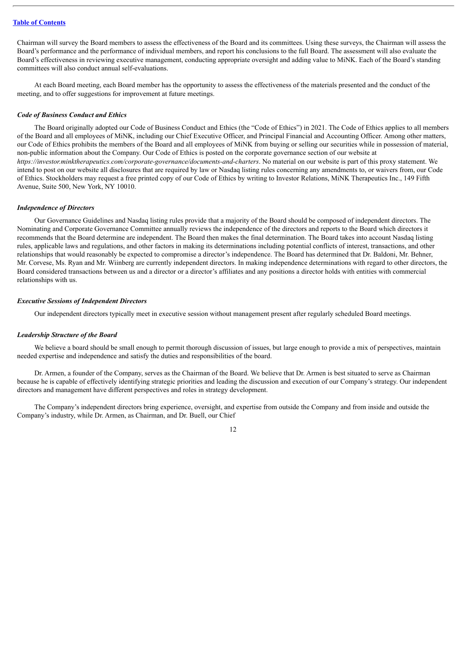Chairman will survey the Board members to assess the effectiveness of the Board and its committees. Using these surveys, the Chairman will assess the Board's performance and the performance of individual members, and report his conclusions to the full Board. The assessment will also evaluate the Board's effectiveness in reviewing executive management, conducting appropriate oversight and adding value to MiNK. Each of the Board's standing committees will also conduct annual self-evaluations.

At each Board meeting, each Board member has the opportunity to assess the effectiveness of the materials presented and the conduct of the meeting, and to offer suggestions for improvement at future meetings.

#### *Code of Business Conduct and Ethics*

The Board originally adopted our Code of Business Conduct and Ethics (the "Code of Ethics") in 2021. The Code of Ethics applies to all members of the Board and all employees of MiNK, including our Chief Executive Officer, and Principal Financial and Accounting Officer. Among other matters, our Code of Ethics prohibits the members of the Board and all employees of MiNK from buying or selling our securities while in possession of material, non-public information about the Company. Our Code of Ethics is posted on the corporate governance section of our website at *https://investor.minktherapeutics.com/corporate-governance/documents-and-charters*. No material on our website is part of this proxy statement. We intend to post on our website all disclosures that are required by law or Nasdaq listing rules concerning any amendments to, or waivers from, our Code of Ethics. Stockholders may request a free printed copy of our Code of Ethics by writing to Investor Relations, MiNK Therapeutics Inc., 149 Fifth Avenue, Suite 500, New York, NY 10010.

#### *Independence of Directors*

Our Governance Guidelines and Nasdaq listing rules provide that a majority of the Board should be composed of independent directors. The Nominating and Corporate Governance Committee annually reviews the independence of the directors and reports to the Board which directors it recommends that the Board determine are independent. The Board then makes the final determination. The Board takes into account Nasdaq listing rules, applicable laws and regulations, and other factors in making its determinations including potential conflicts of interest, transactions, and other relationships that would reasonably be expected to compromise a director's independence. The Board has determined that Dr. Baldoni, Mr. Behner, Mr. Corvese, Ms. Ryan and Mr. Wiinberg are currently independent directors. In making independence determinations with regard to other directors, the Board considered transactions between us and a director or a director's affiliates and any positions a director holds with entities with commercial relationships with us.

#### *Executive Sessions of Independent Directors*

Our independent directors typically meet in executive session without management present after regularly scheduled Board meetings.

#### *Leadership Structure of the Board*

We believe a board should be small enough to permit thorough discussion of issues, but large enough to provide a mix of perspectives, maintain needed expertise and independence and satisfy the duties and responsibilities of the board.

Dr. Armen, a founder of the Company, serves as the Chairman of the Board. We believe that Dr. Armen is best situated to serve as Chairman because he is capable of effectively identifying strategic priorities and leading the discussion and execution of our Company's strategy. Our independent directors and management have different perspectives and roles in strategy development.

The Company's independent directors bring experience, oversight, and expertise from outside the Company and from inside and outside the Company's industry, while Dr. Armen, as Chairman, and Dr. Buell, our Chief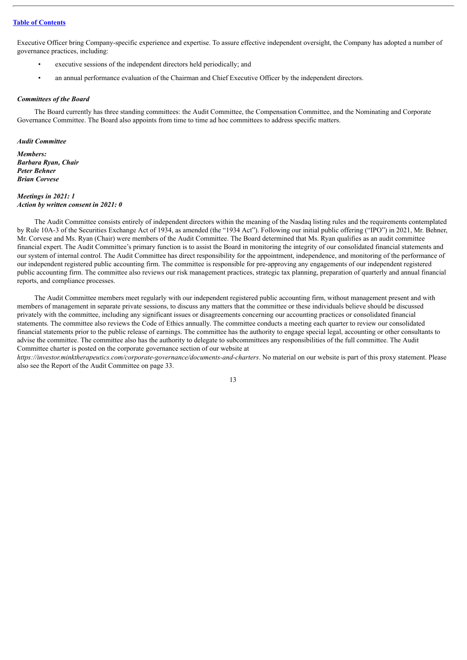Executive Officer bring Company-specific experience and expertise. To assure effective independent oversight, the Company has adopted a number of governance practices, including:

- executive sessions of the independent directors held periodically; and
- an annual performance evaluation of the Chairman and Chief Executive Officer by the independent directors.

#### *Committees of the Board*

The Board currently has three standing committees: the Audit Committee, the Compensation Committee, and the Nominating and Corporate Governance Committee. The Board also appoints from time to time ad hoc committees to address specific matters.

*Audit Committee*

*Members: Barbara Ryan, Chair Peter Behner Brian Corvese*

#### *Meetings in 2021: 1 Action by written consent in 2021: 0*

The Audit Committee consists entirely of independent directors within the meaning of the Nasdaq listing rules and the requirements contemplated by Rule 10A-3 of the Securities Exchange Act of 1934, as amended (the "1934 Act"). Following our initial public offering ("IPO") in 2021, Mr. Behner, Mr. Corvese and Ms. Ryan (Chair) were members of the Audit Committee. The Board determined that Ms. Ryan qualifies as an audit committee financial expert. The Audit Committee's primary function is to assist the Board in monitoring the integrity of our consolidated financial statements and our system of internal control. The Audit Committee has direct responsibility for the appointment, independence, and monitoring of the performance of our independent registered public accounting firm. The committee is responsible for pre-approving any engagements of our independent registered public accounting firm. The committee also reviews our risk management practices, strategic tax planning, preparation of quarterly and annual financial reports, and compliance processes.

The Audit Committee members meet regularly with our independent registered public accounting firm, without management present and with members of management in separate private sessions, to discuss any matters that the committee or these individuals believe should be discussed privately with the committee, including any significant issues or disagreements concerning our accounting practices or consolidated financial statements. The committee also reviews the Code of Ethics annually. The committee conducts a meeting each quarter to review our consolidated financial statements prior to the public release of earnings. The committee has the authority to engage special legal, accounting or other consultants to advise the committee. The committee also has the authority to delegate to subcommittees any responsibilities of the full committee. The Audit Committee charter is posted on the corporate governance section of our website at

*https://investor.minktherapeutics.com/corporate-governance/documents-and-charters*. No material on our website is part of this proxy statement. Please also see the Report of the Audit Committee on page 33.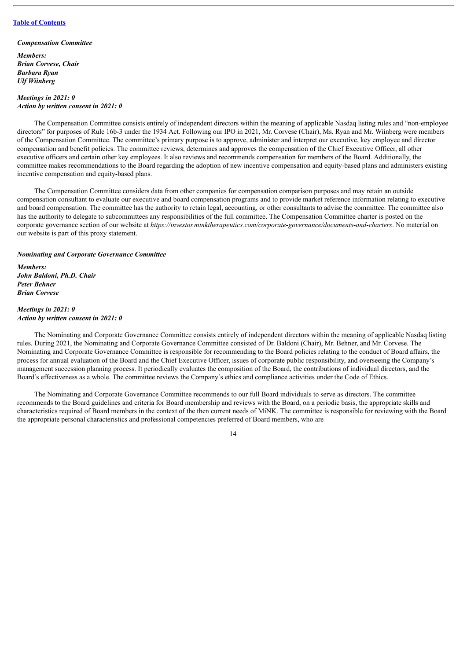*Compensation Committee*

*Members: Brian Corvese, Chair Barbara Ryan Ulf Wiinberg*

#### *Meetings in 2021: 0 Action by written consent in 2021: 0*

The Compensation Committee consists entirely of independent directors within the meaning of applicable Nasdaq listing rules and "non-employee directors" for purposes of Rule 16b-3 under the 1934 Act. Following our IPO in 2021, Mr. Corvese (Chair), Ms. Ryan and Mr. Wiinberg were members of the Compensation Committee. The committee's primary purpose is to approve, administer and interpret our executive, key employee and director compensation and benefit policies. The committee reviews, determines and approves the compensation of the Chief Executive Officer, all other executive officers and certain other key employees. It also reviews and recommends compensation for members of the Board. Additionally, the committee makes recommendations to the Board regarding the adoption of new incentive compensation and equity-based plans and administers existing incentive compensation and equity-based plans.

The Compensation Committee considers data from other companies for compensation comparison purposes and may retain an outside compensation consultant to evaluate our executive and board compensation programs and to provide market reference information relating to executive and board compensation. The committee has the authority to retain legal, accounting, or other consultants to advise the committee. The committee also has the authority to delegate to subcommittees any responsibilities of the full committee. The Compensation Committee charter is posted on the corporate governance section of our website at *https://investor.minktherapeutics.com/corporate-governance/documents-and-charters*. No material on our website is part of this proxy statement.

#### *Nominating and Corporate Governance Committee*

*Members: John Baldoni, Ph.D. Chair Peter Behner Brian Corvese*

#### *Meetings in 2021: 0 Action by written consent in 2021: 0*

The Nominating and Corporate Governance Committee consists entirely of independent directors within the meaning of applicable Nasdaq listing rules. During 2021, the Nominating and Corporate Governance Committee consisted of Dr. Baldoni (Chair), Mr. Behner, and Mr. Corvese. The Nominating and Corporate Governance Committee is responsible for recommending to the Board policies relating to the conduct of Board affairs, the process for annual evaluation of the Board and the Chief Executive Officer, issues of corporate public responsibility, and overseeing the Company's management succession planning process. It periodically evaluates the composition of the Board, the contributions of individual directors, and the Board's effectiveness as a whole. The committee reviews the Company's ethics and compliance activities under the Code of Ethics.

The Nominating and Corporate Governance Committee recommends to our full Board individuals to serve as directors. The committee recommends to the Board guidelines and criteria for Board membership and reviews with the Board, on a periodic basis, the appropriate skills and characteristics required of Board members in the context of the then current needs of MiNK. The committee is responsible for reviewing with the Board the appropriate personal characteristics and professional competencies preferred of Board members, who are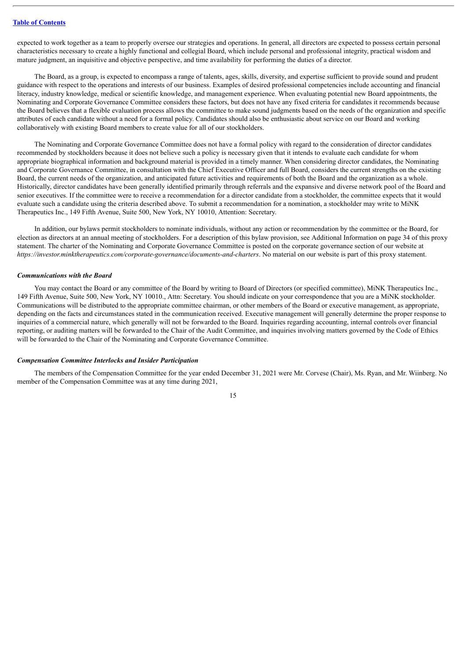expected to work together as a team to properly oversee our strategies and operations. In general, all directors are expected to possess certain personal characteristics necessary to create a highly functional and collegial Board, which include personal and professional integrity, practical wisdom and mature judgment, an inquisitive and objective perspective, and time availability for performing the duties of a director.

The Board, as a group, is expected to encompass a range of talents, ages, skills, diversity, and expertise sufficient to provide sound and prudent guidance with respect to the operations and interests of our business. Examples of desired professional competencies include accounting and financial literacy, industry knowledge, medical or scientific knowledge, and management experience. When evaluating potential new Board appointments, the Nominating and Corporate Governance Committee considers these factors, but does not have any fixed criteria for candidates it recommends because the Board believes that a flexible evaluation process allows the committee to make sound judgments based on the needs of the organization and specific attributes of each candidate without a need for a formal policy. Candidates should also be enthusiastic about service on our Board and working collaboratively with existing Board members to create value for all of our stockholders.

The Nominating and Corporate Governance Committee does not have a formal policy with regard to the consideration of director candidates recommended by stockholders because it does not believe such a policy is necessary given that it intends to evaluate each candidate for whom appropriate biographical information and background material is provided in a timely manner. When considering director candidates, the Nominating and Corporate Governance Committee, in consultation with the Chief Executive Officer and full Board, considers the current strengths on the existing Board, the current needs of the organization, and anticipated future activities and requirements of both the Board and the organization as a whole. Historically, director candidates have been generally identified primarily through referrals and the expansive and diverse network pool of the Board and senior executives. If the committee were to receive a recommendation for a director candidate from a stockholder, the committee expects that it would evaluate such a candidate using the criteria described above. To submit a recommendation for a nomination, a stockholder may write to MiNK Therapeutics Inc., 149 Fifth Avenue, Suite 500, New York, NY 10010, Attention: Secretary.

In addition, our bylaws permit stockholders to nominate individuals, without any action or recommendation by the committee or the Board, for election as directors at an annual meeting of stockholders. For a description of this bylaw provision, see Additional Information on page 34 of this proxy statement. The charter of the Nominating and Corporate Governance Committee is posted on the corporate governance section of our website at *https://investor.minktherapeutics.com/corporate-governance/documents-and-charters*. No material on our website is part of this proxy statement.

#### *Communications with the Board*

You may contact the Board or any committee of the Board by writing to Board of Directors (or specified committee), MiNK Therapeutics Inc., 149 Fifth Avenue, Suite 500, New York, NY 10010., Attn: Secretary. You should indicate on your correspondence that you are a MiNK stockholder. Communications will be distributed to the appropriate committee chairman, or other members of the Board or executive management, as appropriate, depending on the facts and circumstances stated in the communication received. Executive management will generally determine the proper response to inquiries of a commercial nature, which generally will not be forwarded to the Board. Inquiries regarding accounting, internal controls over financial reporting, or auditing matters will be forwarded to the Chair of the Audit Committee, and inquiries involving matters governed by the Code of Ethics will be forwarded to the Chair of the Nominating and Corporate Governance Committee.

#### *Compensation Committee Interlocks and Insider Participation*

The members of the Compensation Committee for the year ended December 31, 2021 were Mr. Corvese (Chair), Ms. Ryan, and Mr. Wiinberg. No member of the Compensation Committee was at any time during 2021,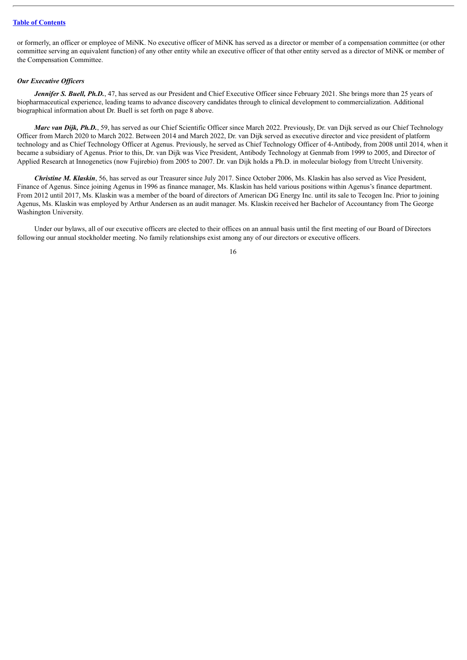or formerly, an officer or employee of MiNK. No executive officer of MiNK has served as a director or member of a compensation committee (or other committee serving an equivalent function) of any other entity while an executive officer of that other entity served as a director of MiNK or member of the Compensation Committee.

#### *Our Executive Of icers*

*Jennifer S. Buell, Ph.D.*, 47, has served as our President and Chief Executive Officer since February 2021. She brings more than 25 years of biopharmaceutical experience, leading teams to advance discovery candidates through to clinical development to commercialization. Additional biographical information about Dr. Buell is set forth on page 8 above.

*Marc van Dijk, Ph.D.*, 59, has served as our Chief Scientific Officer since March 2022. Previously, Dr. van Dijk served as our Chief Technology Officer from March 2020 to March 2022. Between 2014 and March 2022, Dr. van Dijk served as executive director and vice president of platform technology and as Chief Technology Officer at Agenus. Previously, he served as Chief Technology Officer of 4-Antibody, from 2008 until 2014, when it became a subsidiary of Agenus. Prior to this, Dr. van Dijk was Vice President, Antibody Technology at Genmab from 1999 to 2005, and Director of Applied Research at Innogenetics (now Fujirebio) from 2005 to 2007. Dr. van Dijk holds a Ph.D. in molecular biology from Utrecht University.

*Christine M. Klaskin*, 56, has served as our Treasurer since July 2017. Since October 2006, Ms. Klaskin has also served as Vice President, Finance of Agenus. Since joining Agenus in 1996 as finance manager, Ms. Klaskin has held various positions within Agenus's finance department. From 2012 until 2017, Ms. Klaskin was a member of the board of directors of American DG Energy Inc. until its sale to Tecogen Inc. Prior to joining Agenus, Ms. Klaskin was employed by Arthur Andersen as an audit manager. Ms. Klaskin received her Bachelor of Accountancy from The George Washington University.

Under our bylaws, all of our executive officers are elected to their offices on an annual basis until the first meeting of our Board of Directors following our annual stockholder meeting. No family relationships exist among any of our directors or executive officers.

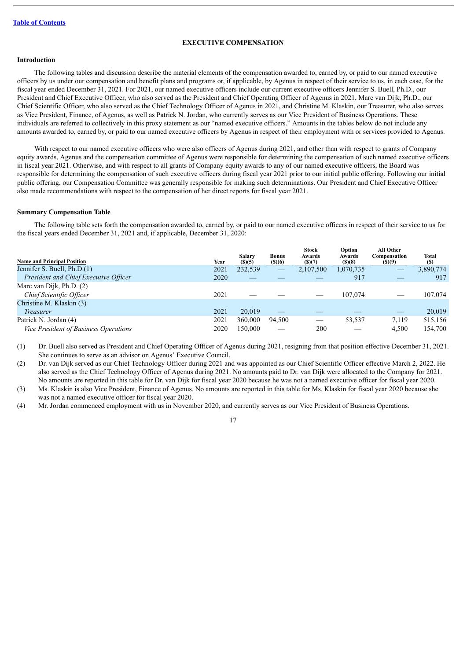#### **EXECUTIVE COMPENSATION**

# <span id="page-19-0"></span>**Introduction**

The following tables and discussion describe the material elements of the compensation awarded to, earned by, or paid to our named executive officers by us under our compensation and benefit plans and programs or, if applicable, by Agenus in respect of their service to us, in each case, for the fiscal year ended December 31, 2021. For 2021, our named executive officers include our current executive officers Jennifer S. Buell, Ph.D., our President and Chief Executive Officer, who also served as the President and Chief Operating Officer of Agenus in 2021, Marc van Dijk, Ph.D., our Chief Scientific Officer, who also served as the Chief Technology Officer of Agenus in 2021, and Christine M. Klaskin, our Treasurer, who also serves as Vice President, Finance, of Agenus, as well as Patrick N. Jordan, who currently serves as our Vice President of Business Operations. These individuals are referred to collectively in this proxy statement as our "named executive officers." Amounts in the tables below do not include any amounts awarded to, earned by, or paid to our named executive officers by Agenus in respect of their employment with or services provided to Agenus.

With respect to our named executive officers who were also officers of Agenus during 2021, and other than with respect to grants of Company equity awards, Agenus and the compensation committee of Agenus were responsible for determining the compensation of such named executive officers in fiscal year 2021. Otherwise, and with respect to all grants of Company equity awards to any of our named executive officers, the Board was responsible for determining the compensation of such executive officers during fiscal year 2021 prior to our initial public offering. Following our initial public offering, our Compensation Committee was generally responsible for making such determinations. Our President and Chief Executive Officer also made recommendations with respect to the compensation of her direct reports for fiscal year 2021.

### **Summary Compensation Table**

The following table sets forth the compensation awarded to, earned by, or paid to our named executive officers in respect of their service to us for the fiscal years ended December 31, 2021 and, if applicable, December 31, 2020:

| <b>Name and Principal Position</b>    | Year | Salary<br>(S)(5) | <b>Bonus</b><br>(S)(6) | <b>Stock</b><br>Awards<br>(S)(7) | Option<br>Awards<br>(S)(8) | All Other<br>Compensation<br>(S)(9) | Total<br>(S) |
|---------------------------------------|------|------------------|------------------------|----------------------------------|----------------------------|-------------------------------------|--------------|
| Jennifer S. Buell, Ph.D.(1)           | 2021 | 232,539          |                        | 2,107,500                        | 1,070,735                  |                                     | 3,890,774    |
| President and Chief Executive Officer | 2020 |                  |                        |                                  | 917                        |                                     | 917          |
| Marc van Dijk, Ph.D. (2)              |      |                  |                        |                                  |                            |                                     |              |
| Chief Scientific Officer              | 2021 |                  |                        |                                  | 107.074                    |                                     | 107,074      |
| Christine M. Klaskin (3)              |      |                  |                        |                                  |                            |                                     |              |
| <i>Treasurer</i>                      | 2021 | 20.019           |                        |                                  |                            | __                                  | 20,019       |
| Patrick N. Jordan (4)                 | 2021 | 360,000          | 94.500                 |                                  | 53,537                     | 7,119                               | 515,156      |
| Vice President of Business Operations | 2020 | 150,000          |                        | 200                              |                            | 4,500                               | 154,700      |

(1) Dr. Buell also served as President and Chief Operating Officer of Agenus during 2021, resigning from that position effective December 31, 2021. She continues to serve as an advisor on Agenus' Executive Council.

(2) Dr. van Dijk served as our Chief Technology Officer during 2021 and was appointed as our Chief Scientific Officer effective March 2, 2022. He also served as the Chief Technology Officer of Agenus during 2021. No amounts paid to Dr. van Dijk were allocated to the Company for 2021. No amounts are reported in this table for Dr. van Dijk for fiscal year 2020 because he was not a named executive officer for fiscal year 2020.

(3) Ms. Klaskin is also Vice President, Finance of Agenus. No amounts are reported in this table for Ms. Klaskin for fiscal year 2020 because she was not a named executive officer for fiscal year 2020.

(4) Mr. Jordan commenced employment with us in November 2020, and currently serves as our Vice President of Business Operations.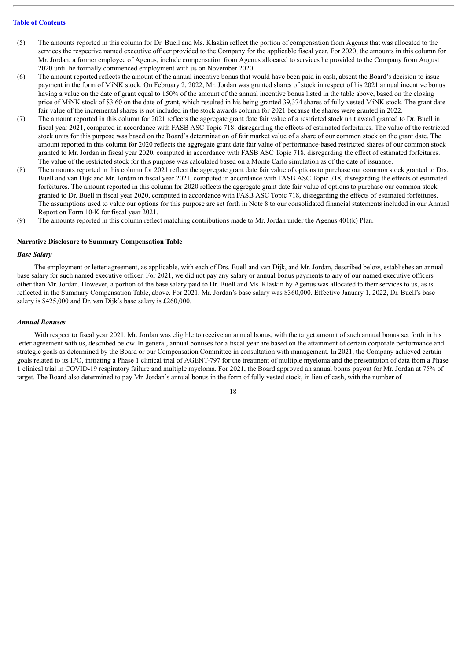- (5) The amounts reported in this column for Dr. Buell and Ms. Klaskin reflect the portion of compensation from Agenus that was allocated to the services the respective named executive officer provided to the Company for the applicable fiscal year. For 2020, the amounts in this column for Mr. Jordan, a former employee of Agenus, include compensation from Agenus allocated to services he provided to the Company from August 2020 until he formally commenced employment with us on November 2020.
- (6) The amount reported reflects the amount of the annual incentive bonus that would have been paid in cash, absent the Board's decision to issue payment in the form of MiNK stock. On February 2, 2022, Mr. Jordan was granted shares of stock in respect of his 2021 annual incentive bonus having a value on the date of grant equal to 150% of the amount of the annual incentive bonus listed in the table above, based on the closing price of MiNK stock of \$3.60 on the date of grant, which resulted in his being granted 39,374 shares of fully vested MiNK stock. The grant date fair value of the incremental shares is not included in the stock awards column for 2021 because the shares were granted in 2022.
- (7) The amount reported in this column for 2021 reflects the aggregate grant date fair value of a restricted stock unit award granted to Dr. Buell in fiscal year 2021, computed in accordance with FASB ASC Topic 718, disregarding the effects of estimated forfeitures. The value of the restricted stock units for this purpose was based on the Board's determination of fair market value of a share of our common stock on the grant date. The amount reported in this column for 2020 reflects the aggregate grant date fair value of performance-based restricted shares of our common stock granted to Mr. Jordan in fiscal year 2020, computed in accordance with FASB ASC Topic 718, disregarding the effect of estimated forfeitures. The value of the restricted stock for this purpose was calculated based on a Monte Carlo simulation as of the date of issuance.
- (8) The amounts reported in this column for 2021 reflect the aggregate grant date fair value of options to purchase our common stock granted to Drs. Buell and van Dijk and Mr. Jordan in fiscal year 2021, computed in accordance with FASB ASC Topic 718, disregarding the effects of estimated forfeitures. The amount reported in this column for 2020 reflects the aggregate grant date fair value of options to purchase our common stock granted to Dr. Buell in fiscal year 2020, computed in accordance with FASB ASC Topic 718, disregarding the effects of estimated forfeitures. The assumptions used to value our options for this purpose are set forth in Note 8 to our consolidated financial statements included in our Annual Report on Form 10-K for fiscal year 2021.
- (9) The amounts reported in this column reflect matching contributions made to Mr. Jordan under the Agenus 401(k) Plan.

#### **Narrative Disclosure to Summary Compensation Table**

#### *Base Salary*

The employment or letter agreement, as applicable, with each of Drs. Buell and van Dijk, and Mr. Jordan, described below, establishes an annual base salary for such named executive officer. For 2021, we did not pay any salary or annual bonus payments to any of our named executive officers other than Mr. Jordan. However, a portion of the base salary paid to Dr. Buell and Ms. Klaskin by Agenus was allocated to their services to us, as is reflected in the Summary Compensation Table, above. For 2021, Mr. Jordan's base salary was \$360,000. Effective January 1, 2022, Dr. Buell's base salary is \$425,000 and Dr. van Dijk's base salary is £260,000.

#### *Annual Bonuses*

With respect to fiscal year 2021, Mr. Jordan was eligible to receive an annual bonus, with the target amount of such annual bonus set forth in his letter agreement with us, described below. In general, annual bonuses for a fiscal year are based on the attainment of certain corporate performance and strategic goals as determined by the Board or our Compensation Committee in consultation with management. In 2021, the Company achieved certain goals related to its IPO, initiating a Phase 1 clinical trial of AGENT-797 for the treatment of multiple myeloma and the presentation of data from a Phase 1 clinical trial in COVID-19 respiratory failure and multiple myeloma. For 2021, the Board approved an annual bonus payout for Mr. Jordan at 75% of target. The Board also determined to pay Mr. Jordan's annual bonus in the form of fully vested stock, in lieu of cash, with the number of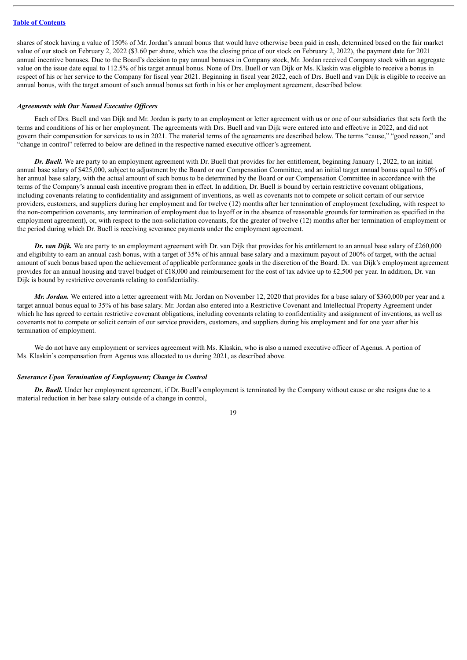shares of stock having a value of 150% of Mr. Jordan's annual bonus that would have otherwise been paid in cash, determined based on the fair market value of our stock on February 2, 2022 (\$3.60 per share, which was the closing price of our stock on February 2, 2022), the payment date for 2021 annual incentive bonuses. Due to the Board's decision to pay annual bonuses in Company stock, Mr. Jordan received Company stock with an aggregate value on the issue date equal to 112.5% of his target annual bonus. None of Drs. Buell or van Dijk or Ms. Klaskin was eligible to receive a bonus in respect of his or her service to the Company for fiscal year 2021. Beginning in fiscal year 2022, each of Drs. Buell and van Dijk is eligible to receive an annual bonus, with the target amount of such annual bonus set forth in his or her employment agreement, described below.

#### *Agreements with Our Named Executive Of icers*

Each of Drs. Buell and van Dijk and Mr. Jordan is party to an employment or letter agreement with us or one of our subsidiaries that sets forth the terms and conditions of his or her employment. The agreements with Drs. Buell and van Dijk were entered into and effective in 2022, and did not govern their compensation for services to us in 2021. The material terms of the agreements are described below. The terms "cause," "good reason," and "change in control" referred to below are defined in the respective named executive officer's agreement.

*Dr. Buell.* We are party to an employment agreement with Dr. Buell that provides for her entitlement, beginning January 1, 2022, to an initial annual base salary of \$425,000, subject to adjustment by the Board or our Compensation Committee, and an initial target annual bonus equal to 50% of her annual base salary, with the actual amount of such bonus to be determined by the Board or our Compensation Committee in accordance with the terms of the Company's annual cash incentive program then in effect. In addition, Dr. Buell is bound by certain restrictive covenant obligations, including covenants relating to confidentiality and assignment of inventions, as well as covenants not to compete or solicit certain of our service providers, customers, and suppliers during her employment and for twelve (12) months after her termination of employment (excluding, with respect to the non-competition covenants, any termination of employment due to layoff or in the absence of reasonable grounds for termination as specified in the employment agreement), or, with respect to the non-solicitation covenants, for the greater of twelve (12) months after her termination of employment or the period during which Dr. Buell is receiving severance payments under the employment agreement.

*Dr. van Dijk.* We are party to an employment agreement with Dr. van Dijk that provides for his entitlement to an annual base salary of £260,000 and eligibility to earn an annual cash bonus, with a target of 35% of his annual base salary and a maximum payout of 200% of target, with the actual amount of such bonus based upon the achievement of applicable performance goals in the discretion of the Board. Dr. van Dijk's employment agreement provides for an annual housing and travel budget of £18,000 and reimbursement for the cost of tax advice up to £2,500 per year. In addition, Dr. van Dijk is bound by restrictive covenants relating to confidentiality.

*Mr. Jordan.* We entered into a letter agreement with Mr. Jordan on November 12, 2020 that provides for a base salary of \$360,000 per year and a target annual bonus equal to 35% of his base salary. Mr. Jordan also entered into a Restrictive Covenant and Intellectual Property Agreement under which he has agreed to certain restrictive covenant obligations, including covenants relating to confidentiality and assignment of inventions, as well as covenants not to compete or solicit certain of our service providers, customers, and suppliers during his employment and for one year after his termination of employment.

We do not have any employment or services agreement with Ms. Klaskin, who is also a named executive officer of Agenus. A portion of Ms. Klaskin's compensation from Agenus was allocated to us during 2021, as described above.

#### *Severance Upon Termination of Employment; Change in Control*

*Dr. Buell.* Under her employment agreement, if Dr. Buell's employment is terminated by the Company without cause or she resigns due to a material reduction in her base salary outside of a change in control,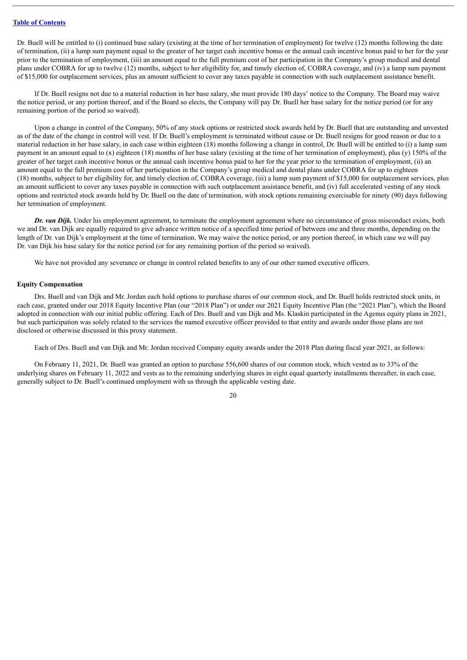Dr. Buell will be entitled to (i) continued base salary (existing at the time of her termination of employment) for twelve (12) months following the date of termination, (ii) a lump sum payment equal to the greater of her target cash incentive bonus or the annual cash incentive bonus paid to her for the year prior to the termination of employment, (iii) an amount equal to the full premium cost of her participation in the Company's group medical and dental plans under COBRA for up to twelve (12) months, subject to her eligibility for, and timely election of, COBRA coverage, and (iv) a lump sum payment of \$15,000 for outplacement services, plus an amount sufficient to cover any taxes payable in connection with such outplacement assistance benefit.

If Dr. Buell resigns not due to a material reduction in her base salary, she must provide 180 days' notice to the Company. The Board may waive the notice period, or any portion thereof, and if the Board so elects, the Company will pay Dr. Buell her base salary for the notice period (or for any remaining portion of the period so waived).

Upon a change in control of the Company, 50% of any stock options or restricted stock awards held by Dr. Buell that are outstanding and unvested as of the date of the change in control will vest. If Dr. Buell's employment is terminated without cause or Dr. Buell resigns for good reason or due to a material reduction in her base salary, in each case within eighteen (18) months following a change in control, Dr. Buell will be entitled to (i) a lump sum payment in an amount equal to (x) eighteen (18) months of her base salary (existing at the time of her termination of employment), plus (y) 150% of the greater of her target cash incentive bonus or the annual cash incentive bonus paid to her for the year prior to the termination of employment, (ii) an amount equal to the full premium cost of her participation in the Company's group medical and dental plans under COBRA for up to eighteen (18) months, subject to her eligibility for, and timely election of, COBRA coverage, (iii) a lump sum payment of \$15,000 for outplacement services, plus an amount sufficient to cover any taxes payable in connection with such outplacement assistance benefit, and (iv) full accelerated vesting of any stock options and restricted stock awards held by Dr. Buell on the date of termination, with stock options remaining exercisable for ninety (90) days following her termination of employment.

*Dr. van Dijk.* Under his employment agreement, to terminate the employment agreement where no circumstance of gross misconduct exists, both we and Dr. van Dijk are equally required to give advance written notice of a specified time period of between one and three months, depending on the length of Dr. van Dijk's employment at the time of termination. We may waive the notice period, or any portion thereof, in which case we will pay Dr. van Dijk his base salary for the notice period (or for any remaining portion of the period so waived).

We have not provided any severance or change in control related benefits to any of our other named executive officers.

#### **Equity Compensation**

Drs. Buell and van Dijk and Mr. Jordan each hold options to purchase shares of our common stock, and Dr. Buell holds restricted stock units, in each case, granted under our 2018 Equity Incentive Plan (our "2018 Plan") or under our 2021 Equity Incentive Plan (the "2021 Plan"), which the Board adopted in connection with our initial public offering. Each of Drs. Buell and van Dijk and Ms. Klaskin participated in the Agenus equity plans in 2021, but such participation was solely related to the services the named executive officer provided to that entity and awards under those plans are not disclosed or otherwise discussed in this proxy statement.

Each of Drs. Buell and van Dijk and Mr. Jordan received Company equity awards under the 2018 Plan during fiscal year 2021, as follows:

On February 11, 2021, Dr. Buell was granted an option to purchase 556,600 shares of our common stock, which vested as to 33% of the underlying shares on February 11, 2022 and vests as to the remaining underlying shares in eight equal quarterly installments thereafter, in each case, generally subject to Dr. Buell's continued employment with us through the applicable vesting date.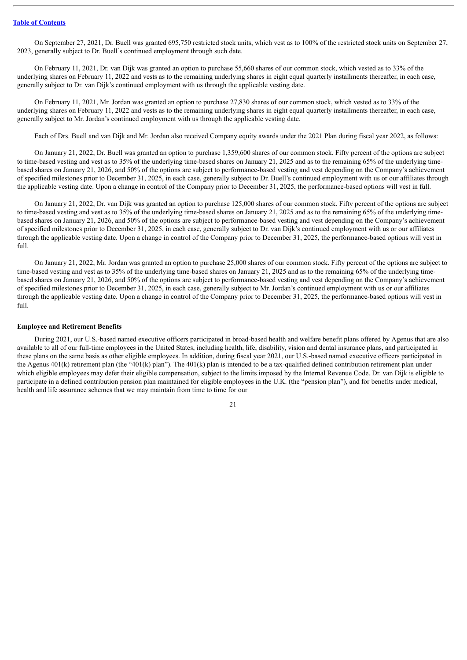On September 27, 2021, Dr. Buell was granted 695,750 restricted stock units, which vest as to 100% of the restricted stock units on September 27, 2023, generally subject to Dr. Buell's continued employment through such date.

On February 11, 2021, Dr. van Dijk was granted an option to purchase 55,660 shares of our common stock, which vested as to 33% of the underlying shares on February 11, 2022 and vests as to the remaining underlying shares in eight equal quarterly installments thereafter, in each case, generally subject to Dr. van Dijk's continued employment with us through the applicable vesting date.

On February 11, 2021, Mr. Jordan was granted an option to purchase 27,830 shares of our common stock, which vested as to 33% of the underlying shares on February 11, 2022 and vests as to the remaining underlying shares in eight equal quarterly installments thereafter, in each case, generally subject to Mr. Jordan's continued employment with us through the applicable vesting date.

Each of Drs. Buell and van Dijk and Mr. Jordan also received Company equity awards under the 2021 Plan during fiscal year 2022, as follows:

On January 21, 2022, Dr. Buell was granted an option to purchase 1,359,600 shares of our common stock. Fifty percent of the options are subject to time-based vesting and vest as to 35% of the underlying time-based shares on January 21, 2025 and as to the remaining 65% of the underlying timebased shares on January 21, 2026, and 50% of the options are subject to performance-based vesting and vest depending on the Company's achievement of specified milestones prior to December 31, 2025, in each case, generally subject to Dr. Buell's continued employment with us or our affiliates through the applicable vesting date. Upon a change in control of the Company prior to December 31, 2025, the performance-based options will vest in full.

On January 21, 2022, Dr. van Dijk was granted an option to purchase 125,000 shares of our common stock. Fifty percent of the options are subject to time-based vesting and vest as to 35% of the underlying time-based shares on January 21, 2025 and as to the remaining 65% of the underlying timebased shares on January 21, 2026, and 50% of the options are subject to performance-based vesting and vest depending on the Company's achievement of specified milestones prior to December 31, 2025, in each case, generally subject to Dr. van Dijk's continued employment with us or our affiliates through the applicable vesting date. Upon a change in control of the Company prior to December 31, 2025, the performance-based options will vest in full.

On January 21, 2022, Mr. Jordan was granted an option to purchase 25,000 shares of our common stock. Fifty percent of the options are subject to time-based vesting and vest as to 35% of the underlying time-based shares on January 21, 2025 and as to the remaining 65% of the underlying timebased shares on January 21, 2026, and 50% of the options are subject to performance-based vesting and vest depending on the Company's achievement of specified milestones prior to December 31, 2025, in each case, generally subject to Mr. Jordan's continued employment with us or our affiliates through the applicable vesting date. Upon a change in control of the Company prior to December 31, 2025, the performance-based options will vest in full.

#### **Employee and Retirement Benefits**

During 2021, our U.S.-based named executive officers participated in broad-based health and welfare benefit plans offered by Agenus that are also available to all of our full-time employees in the United States, including health, life, disability, vision and dental insurance plans, and participated in these plans on the same basis as other eligible employees. In addition, during fiscal year 2021, our U.S.-based named executive officers participated in the Agenus  $401(k)$  retirement plan (the " $401(k)$  plan"). The  $401(k)$  plan is intended to be a tax-qualified defined contribution retirement plan under which eligible employees may defer their eligible compensation, subject to the limits imposed by the Internal Revenue Code. Dr. van Dijk is eligible to participate in a defined contribution pension plan maintained for eligible employees in the U.K. (the "pension plan"), and for benefits under medical, health and life assurance schemes that we may maintain from time to time for our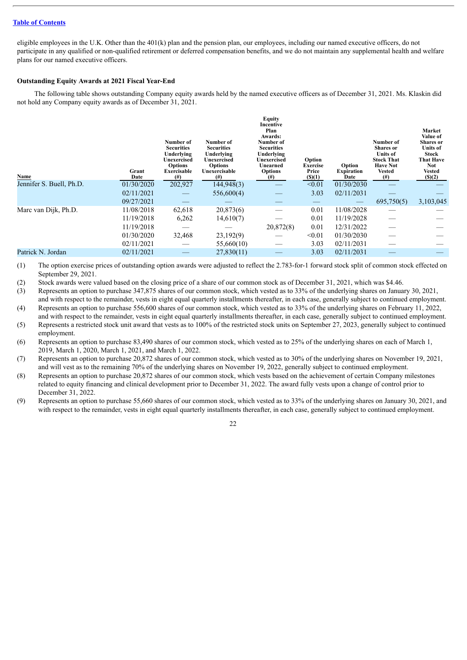eligible employees in the U.K. Other than the 401(k) plan and the pension plan, our employees, including our named executive officers, do not participate in any qualified or non-qualified retirement or deferred compensation benefits, and we do not maintain any supplemental health and welfare plans for our named executive officers.

# **Outstanding Equity Awards at 2021 Fiscal Year-End**

The following table shows outstanding Company equity awards held by the named executive officers as of December 31, 2021. Ms. Klaskin did not hold any Company equity awards as of December 31, 2021.

| Name                     | Grant<br>Date | Number of<br><b>Securities</b><br>Underlying<br>Unexercised<br><b>Options</b><br>Exercisable<br>$^{(#)}$ | Number of<br><b>Securities</b><br>Underlying<br>Unexercised<br><b>Options</b><br>Unexercisable<br>$^{(#)}$ | <b>Equity</b><br>Incentive<br>Plan<br>Awards:<br>Number of<br><b>Securities</b><br>Underlying<br>Unexercised<br>Unearned<br><b>Options</b><br>(#) | Option<br><b>Exercise</b><br>Price<br>$($ (\$)(1) | Option<br><b>Expiration</b><br>Date | Number of<br><b>Shares</b> or<br><b>Units</b> of<br><b>Stock That</b><br><b>Have Not</b><br><b>Vested</b><br>$^{(#)}$ | Market<br>Value of<br><b>Shares</b> or<br>Units of<br><b>Stock</b><br><b>That Have</b><br><b>Not</b><br>Vested<br>$($ (\$)(2) |
|--------------------------|---------------|----------------------------------------------------------------------------------------------------------|------------------------------------------------------------------------------------------------------------|---------------------------------------------------------------------------------------------------------------------------------------------------|---------------------------------------------------|-------------------------------------|-----------------------------------------------------------------------------------------------------------------------|-------------------------------------------------------------------------------------------------------------------------------|
| Jennifer S. Buell, Ph.D. | 01/30/2020    | 202,927                                                                                                  | 144,948(3)                                                                                                 |                                                                                                                                                   | < 0.01                                            | 01/30/2030                          |                                                                                                                       |                                                                                                                               |
|                          | 02/11/2021    |                                                                                                          | 556,600(4)                                                                                                 |                                                                                                                                                   | 3.03                                              | 02/11/2031                          |                                                                                                                       |                                                                                                                               |
|                          | 09/27/2021    |                                                                                                          |                                                                                                            |                                                                                                                                                   |                                                   |                                     | 695,750(5)                                                                                                            | 3,103,045                                                                                                                     |
| Marc van Dijk, Ph.D.     | 11/08/2018    | 62,618                                                                                                   | 20,873(6)                                                                                                  |                                                                                                                                                   | 0.01                                              | 11/08/2028                          |                                                                                                                       |                                                                                                                               |
|                          | 11/19/2018    | 6,262                                                                                                    | 14,610(7)                                                                                                  |                                                                                                                                                   | 0.01                                              | 11/19/2028                          |                                                                                                                       |                                                                                                                               |
|                          | 11/19/2018    |                                                                                                          |                                                                                                            | 20,872(8)                                                                                                                                         | 0.01                                              | 12/31/2022                          |                                                                                                                       |                                                                                                                               |
|                          | 01/30/2020    | 32,468                                                                                                   | 23,192(9)                                                                                                  |                                                                                                                                                   | < 0.01                                            | 01/30/2030                          |                                                                                                                       |                                                                                                                               |
|                          | 02/11/2021    |                                                                                                          | 55,660(10)                                                                                                 |                                                                                                                                                   | 3.03                                              | 02/11/2031                          |                                                                                                                       |                                                                                                                               |
| Patrick N. Jordan        | 02/11/2021    |                                                                                                          | 27,830(11)                                                                                                 |                                                                                                                                                   | 3.03                                              | 02/11/2031                          |                                                                                                                       |                                                                                                                               |
|                          |               |                                                                                                          |                                                                                                            |                                                                                                                                                   |                                                   |                                     |                                                                                                                       |                                                                                                                               |

(1) The option exercise prices of outstanding option awards were adjusted to reflect the 2.783-for-1 forward stock split of common stock effected on September 29, 2021.

(2) Stock awards were valued based on the closing price of a share of our common stock as of December 31, 2021, which was \$4.46.

(3) Represents an option to purchase 347,875 shares of our common stock, which vested as to 33% of the underlying shares on January 30, 2021, and with respect to the remainder, vests in eight equal quarterly installments thereafter, in each case, generally subject to continued employment.

(4) Represents an option to purchase 556,600 shares of our common stock, which vested as to 33% of the underlying shares on February 11, 2022, and with respect to the remainder, vests in eight equal quarterly installments thereafter, in each case, generally subject to continued employment.

(5) Represents a restricted stock unit award that vests as to 100% of the restricted stock units on September 27, 2023, generally subject to continued employment.

(6) Represents an option to purchase 83,490 shares of our common stock, which vested as to 25% of the underlying shares on each of March 1, 2019, March 1, 2020, March 1, 2021, and March 1, 2022.

(7) Represents an option to purchase 20,872 shares of our common stock, which vested as to 30% of the underlying shares on November 19, 2021, and will vest as to the remaining 70% of the underlying shares on November 19, 2022, generally subject to continued employment.

- (8) Represents an option to purchase 20,872 shares of our common stock, which vests based on the achievement of certain Company milestones related to equity financing and clinical development prior to December 31, 2022. The award fully vests upon a change of control prior to December 31, 2022.
- (9) Represents an option to purchase 55,660 shares of our common stock, which vested as to 33% of the underlying shares on January 30, 2021, and with respect to the remainder, vests in eight equal quarterly installments thereafter, in each case, generally subject to continued employment.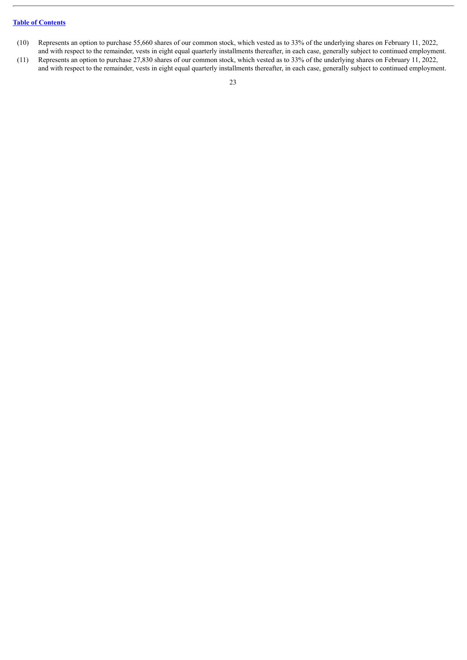- (10) Represents an option to purchase 55,660 shares of our common stock, which vested as to 33% of the underlying shares on February 11, 2022, and with respect to the remainder, vests in eight equal quarterly installments thereafter, in each case, generally subject to continued employment.
- (11) Represents an option to purchase 27,830 shares of our common stock, which vested as to 33% of the underlying shares on February 11, 2022, and with respect to the remainder, vests in eight equal quarterly installments thereafter, in each case, generally subject to continued employment.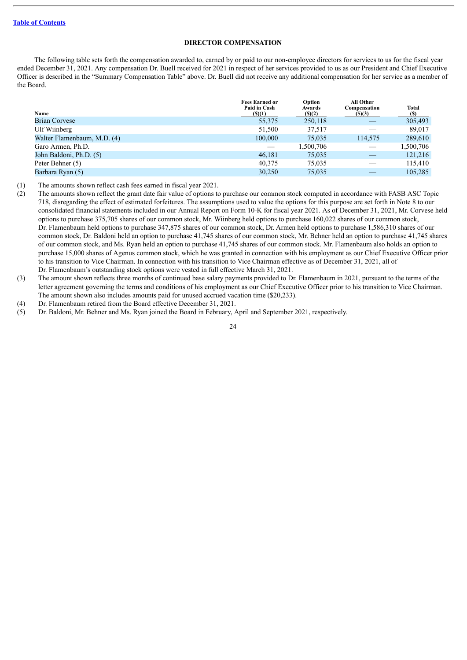# **DIRECTOR COMPENSATION**

<span id="page-26-0"></span>The following table sets forth the compensation awarded to, earned by or paid to our non-employee directors for services to us for the fiscal year ended December 31, 2021. Any compensation Dr. Buell received for 2021 in respect of her services provided to us as our President and Chief Executive Officer is described in the "Summary Compensation Table" above. Dr. Buell did not receive any additional compensation for her service as a member of the Board.

| Name                        | <b>Fees Earned or</b><br>Paid in Cash<br>$($ (\$)(1) | Option<br>Awards<br>(S)(2) | All Other<br>Compensation<br>(S)(3) | <b>Total</b><br>(S) |
|-----------------------------|------------------------------------------------------|----------------------------|-------------------------------------|---------------------|
| <b>Brian Corvese</b>        | 55,375                                               | 250,118                    |                                     | 305,493             |
| Ulf Wiinberg                | 51,500                                               | 37,517                     |                                     | 89,017              |
| Walter Flamenbaum, M.D. (4) | 100,000                                              | 75,035                     | 114,575                             | 289,610             |
| Garo Armen, Ph.D.           |                                                      | 1,500,706                  |                                     | 1,500,706           |
| John Baldoni, Ph.D. (5)     | 46,181                                               | 75,035                     |                                     | 121,216             |
| Peter Behner (5)            | 40,375                                               | 75,035                     |                                     | 115,410             |
| Barbara Ryan (5)            | 30,250                                               | 75,035                     |                                     | 105,285             |

(1) The amounts shown reflect cash fees earned in fiscal year 2021.

(2) The amounts shown reflect the grant date fair value of options to purchase our common stock computed in accordance with FASB ASC Topic 718, disregarding the effect of estimated forfeitures. The assumptions used to value the options for this purpose are set forth in Note 8 to our consolidated financial statements included in our Annual Report on Form 10-K for fiscal year 2021. As of December 31, 2021, Mr. Corvese held options to purchase 375,705 shares of our common stock, Mr. Wiinberg held options to purchase 160,022 shares of our common stock, Dr. Flamenbaum held options to purchase 347,875 shares of our common stock, Dr. Armen held options to purchase 1,586,310 shares of our common stock, Dr. Baldoni held an option to purchase 41,745 shares of our common stock, Mr. Behner held an option to purchase 41,745 shares of our common stock, and Ms. Ryan held an option to purchase 41,745 shares of our common stock. Mr. Flamenbaum also holds an option to purchase 15,000 shares of Agenus common stock, which he was granted in connection with his employment as our Chief Executive Officer prior to his transition to Vice Chairman. In connection with his transition to Vice Chairman effective as of December 31, 2021, all of Dr. Flamenbaum's outstanding stock options were vested in full effective March 31, 2021.

(3) The amount shown reflects three months of continued base salary payments provided to Dr. Flamenbaum in 2021, pursuant to the terms of the letter agreement governing the terms and conditions of his employment as our Chief Executive Officer prior to his transition to Vice Chairman. The amount shown also includes amounts paid for unused accrued vacation time (\$20,233).

(4) Dr. Flamenbaum retired from the Board effective December 31, 2021.

(5) Dr. Baldoni, Mr. Behner and Ms. Ryan joined the Board in February, April and September 2021, respectively.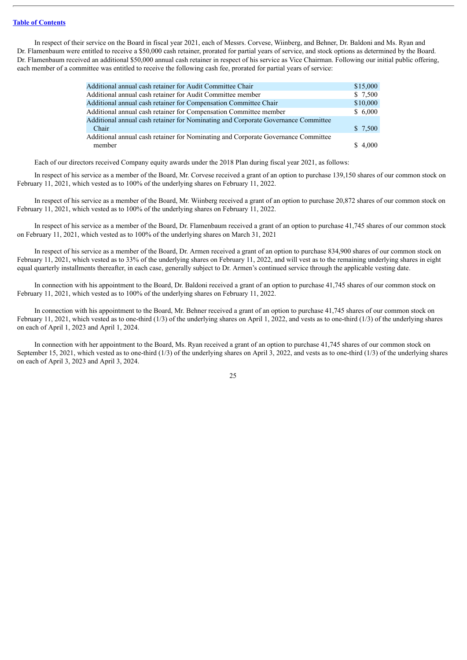In respect of their service on the Board in fiscal year 2021, each of Messrs. Corvese, Wiinberg, and Behner, Dr. Baldoni and Ms. Ryan and Dr. Flamenbaum were entitled to receive a \$50,000 cash retainer, prorated for partial years of service, and stock options as determined by the Board. Dr. Flamenbaum received an additional \$50,000 annual cash retainer in respect of his service as Vice Chairman. Following our initial public offering, each member of a committee was entitled to receive the following cash fee, prorated for partial years of service:

| Additional annual cash retainer for Audit Committee Chair                         | \$15,000 |
|-----------------------------------------------------------------------------------|----------|
| Additional annual cash retainer for Audit Committee member                        | \$7,500  |
| Additional annual cash retainer for Compensation Committee Chair                  | \$10,000 |
| Additional annual cash retainer for Compensation Committee member                 | \$6,000  |
| Additional annual cash retainer for Nominating and Corporate Governance Committee |          |
| Chair                                                                             | \$7,500  |
| Additional annual cash retainer for Nominating and Corporate Governance Committee |          |
| member                                                                            | \$4.000  |
|                                                                                   |          |

Each of our directors received Company equity awards under the 2018 Plan during fiscal year 2021, as follows:

In respect of his service as a member of the Board, Mr. Corvese received a grant of an option to purchase 139,150 shares of our common stock on February 11, 2021, which vested as to 100% of the underlying shares on February 11, 2022.

In respect of his service as a member of the Board, Mr. Wiinberg received a grant of an option to purchase 20,872 shares of our common stock on February 11, 2021, which vested as to 100% of the underlying shares on February 11, 2022.

In respect of his service as a member of the Board, Dr. Flamenbaum received a grant of an option to purchase 41,745 shares of our common stock on February 11, 2021, which vested as to 100% of the underlying shares on March 31, 2021

In respect of his service as a member of the Board, Dr. Armen received a grant of an option to purchase 834,900 shares of our common stock on February 11, 2021, which vested as to 33% of the underlying shares on February 11, 2022, and will vest as to the remaining underlying shares in eight equal quarterly installments thereafter, in each case, generally subject to Dr. Armen's continued service through the applicable vesting date.

In connection with his appointment to the Board, Dr. Baldoni received a grant of an option to purchase 41,745 shares of our common stock on February 11, 2021, which vested as to 100% of the underlying shares on February 11, 2022.

In connection with his appointment to the Board, Mr. Behner received a grant of an option to purchase 41,745 shares of our common stock on February 11, 2021, which vested as to one-third (1/3) of the underlying shares on April 1, 2022, and vests as to one-third (1/3) of the underlying shares on each of April 1, 2023 and April 1, 2024.

In connection with her appointment to the Board, Ms. Ryan received a grant of an option to purchase 41,745 shares of our common stock on September 15, 2021, which vested as to one-third (1/3) of the underlying shares on April 3, 2022, and vests as to one-third (1/3) of the underlying shares on each of April 3, 2023 and April 3, 2024.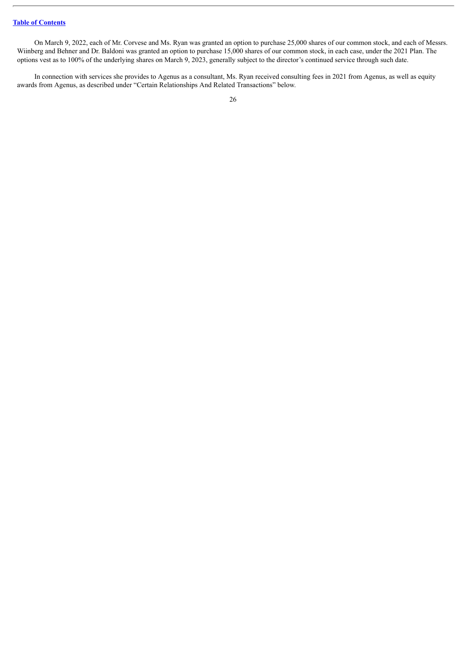On March 9, 2022, each of Mr. Corvese and Ms. Ryan was granted an option to purchase 25,000 shares of our common stock, and each of Messrs. Wiinberg and Behner and Dr. Baldoni was granted an option to purchase 15,000 shares of our common stock, in each case, under the 2021 Plan. The options vest as to 100% of the underlying shares on March 9, 2023, generally subject to the director's continued service through such date.

In connection with services she provides to Agenus as a consultant, Ms. Ryan received consulting fees in 2021 from Agenus, as well as equity awards from Agenus, as described under "Certain Relationships And Related Transactions" below.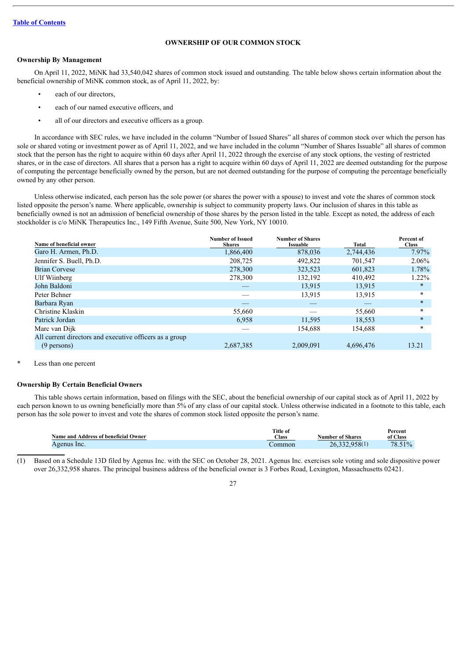# **OWNERSHIP OF OUR COMMON STOCK**

# <span id="page-29-0"></span>**Ownership By Management**

On April 11, 2022, MiNK had 33,540,042 shares of common stock issued and outstanding. The table below shows certain information about the beneficial ownership of MiNK common stock, as of April 11, 2022, by:

- each of our directors,
- each of our named executive officers, and
- all of our directors and executive officers as a group.

In accordance with SEC rules, we have included in the column "Number of Issued Shares" all shares of common stock over which the person has sole or shared voting or investment power as of April 11, 2022, and we have included in the column "Number of Shares Issuable" all shares of common stock that the person has the right to acquire within 60 days after April 11, 2022 through the exercise of any stock options, the vesting of restricted shares, or in the case of directors. All shares that a person has a right to acquire within 60 days of April 11, 2022 are deemed outstanding for the purpose of computing the percentage beneficially owned by the person, but are not deemed outstanding for the purpose of computing the percentage beneficially owned by any other person.

Unless otherwise indicated, each person has the sole power (or shares the power with a spouse) to invest and vote the shares of common stock listed opposite the person's name. Where applicable, ownership is subject to community property laws. Our inclusion of shares in this table as beneficially owned is not an admission of beneficial ownership of those shares by the person listed in the table. Except as noted, the address of each stockholder is c/o MiNK Therapeutics Inc., 149 Fifth Avenue, Suite 500, New York, NY 10010.

| Name of beneficial owner                                | Number of Issued<br><b>Shares</b> | <b>Number of Shares</b><br><b>Issuable</b> | Total     | Percent of<br><b>Class</b> |
|---------------------------------------------------------|-----------------------------------|--------------------------------------------|-----------|----------------------------|
| Garo H. Armen, Ph.D.                                    | 1,866,400                         | 878,036                                    | 2,744,436 | 7.97%                      |
| Jennifer S. Buell, Ph.D.                                | 208,725                           | 492,822                                    | 701,547   | 2.06%                      |
| <b>Brian Corvese</b>                                    | 278,300                           | 323,523                                    | 601,823   | 1.78%                      |
| Ulf Wiinberg                                            | 278,300                           | 132,192                                    | 410.492   | 1.22%                      |
| John Baldoni                                            |                                   | 13,915                                     | 13,915    | $\ast$                     |
| Peter Behner                                            |                                   | 13.915                                     | 13.915    | $\ast$                     |
| Barbara Ryan                                            |                                   | _                                          |           | $\ast$                     |
| Christine Klaskin                                       | 55,660                            |                                            | 55,660    | $\ast$                     |
| Patrick Jordan                                          | 6.958                             | 11,595                                     | 18,553    | $\ast$                     |
| Marc van Dijk                                           |                                   | 154,688                                    | 154,688   | $\ast$                     |
| All current directors and executive officers as a group |                                   |                                            |           |                            |
| $(9$ persons)                                           | 2,687,385                         | 2,009,091                                  | 4,696,476 | 13.21                      |

# Less than one percent

#### **Ownership By Certain Beneficial Owners**

This table shows certain information, based on filings with the SEC, about the beneficial ownership of our capital stock as of April 11, 2022 by each person known to us owning beneficially more than 5% of any class of our capital stock. Unless otherwise indicated in a footnote to this table, each person has the sole power to invest and vote the shares of common stock listed opposite the person's name.

| Name and Address of beneficial Owner | <b>Title of</b><br>$\text{Class}$ | <b>Number of Shares</b> | Percent<br>of Class |
|--------------------------------------|-----------------------------------|-------------------------|---------------------|
| Agenus Inc.                          | ∠ommon                            | 26,332,958(1)           | 78.51%              |

(1) Based on a Schedule 13D filed by Agenus Inc. with the SEC on October 28, 2021. Agenus Inc. exercises sole voting and sole dispositive power over 26,332,958 shares. The principal business address of the beneficial owner is 3 Forbes Road, Lexington, Massachusetts 02421.

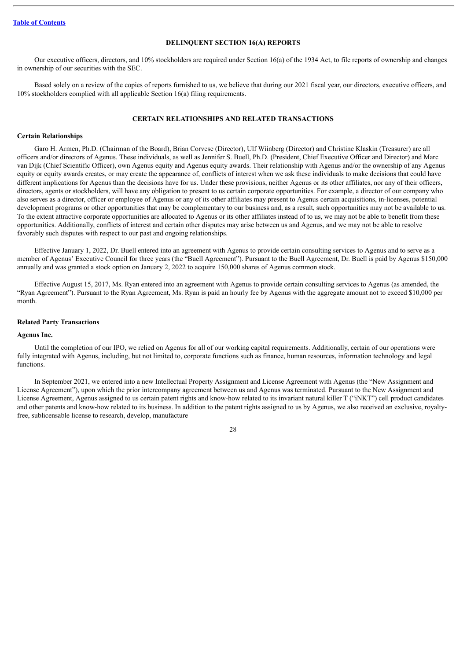#### **DELINQUENT SECTION 16(A) REPORTS**

<span id="page-30-0"></span>Our executive officers, directors, and 10% stockholders are required under Section 16(a) of the 1934 Act, to file reports of ownership and changes in ownership of our securities with the SEC.

Based solely on a review of the copies of reports furnished to us, we believe that during our 2021 fiscal year, our directors, executive officers, and 10% stockholders complied with all applicable Section 16(a) filing requirements.

# **CERTAIN RELATIONSHIPS AND RELATED TRANSACTIONS**

#### <span id="page-30-1"></span>**Certain Relationships**

Garo H. Armen, Ph.D. (Chairman of the Board), Brian Corvese (Director), Ulf Wiinberg (Director) and Christine Klaskin (Treasurer) are all officers and/or directors of Agenus. These individuals, as well as Jennifer S. Buell, Ph.D. (President, Chief Executive Officer and Director) and Marc van Dijk (Chief Scientific Officer), own Agenus equity and Agenus equity awards. Their relationship with Agenus and/or the ownership of any Agenus equity or equity awards creates, or may create the appearance of, conflicts of interest when we ask these individuals to make decisions that could have different implications for Agenus than the decisions have for us. Under these provisions, neither Agenus or its other affiliates, nor any of their officers, directors, agents or stockholders, will have any obligation to present to us certain corporate opportunities. For example, a director of our company who also serves as a director, officer or employee of Agenus or any of its other affiliates may present to Agenus certain acquisitions, in-licenses, potential development programs or other opportunities that may be complementary to our business and, as a result, such opportunities may not be available to us. To the extent attractive corporate opportunities are allocated to Agenus or its other affiliates instead of to us, we may not be able to benefit from these opportunities. Additionally, conflicts of interest and certain other disputes may arise between us and Agenus, and we may not be able to resolve favorably such disputes with respect to our past and ongoing relationships.

Effective January 1, 2022, Dr. Buell entered into an agreement with Agenus to provide certain consulting services to Agenus and to serve as a member of Agenus' Executive Council for three years (the "Buell Agreement"). Pursuant to the Buell Agreement, Dr. Buell is paid by Agenus \$150,000 annually and was granted a stock option on January 2, 2022 to acquire 150,000 shares of Agenus common stock.

Effective August 15, 2017, Ms. Ryan entered into an agreement with Agenus to provide certain consulting services to Agenus (as amended, the "Ryan Agreement"). Pursuant to the Ryan Agreement, Ms. Ryan is paid an hourly fee by Agenus with the aggregate amount not to exceed \$10,000 per month.

#### **Related Party Transactions**

#### **Agenus Inc.**

Until the completion of our IPO, we relied on Agenus for all of our working capital requirements. Additionally, certain of our operations were fully integrated with Agenus, including, but not limited to, corporate functions such as finance, human resources, information technology and legal functions.

In September 2021, we entered into a new Intellectual Property Assignment and License Agreement with Agenus (the "New Assignment and License Agreement"), upon which the prior intercompany agreement between us and Agenus was terminated. Pursuant to the New Assignment and License Agreement, Agenus assigned to us certain patent rights and know-how related to its invariant natural killer T ("iNKT") cell product candidates and other patents and know-how related to its business. In addition to the patent rights assigned to us by Agenus, we also received an exclusive, royaltyfree, sublicensable license to research, develop, manufacture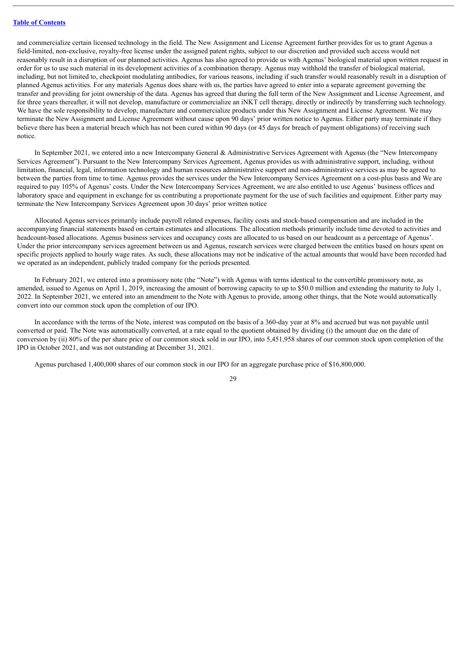and commercialize certain licensed technology in the field. The New Assignment and License Agreement further provides for us to grant Agenus a field-limited, non-exclusive, royalty-free license under the assigned patent rights, subject to our discretion and provided such access would not reasonably result in a disruption of our planned activities. Agenus has also agreed to provide us with Agenus' biological material upon written request in order for us to use such material in its development activities of a combination therapy. Agenus may withhold the transfer of biological material, including, but not limited to, checkpoint modulating antibodies, for various reasons, including if such transfer would reasonably result in a disruption of planned Agenus activities. For any materials Agenus does share with us, the parties have agreed to enter into a separate agreement governing the transfer and providing for joint ownership of the data. Agenus has agreed that during the full term of the New Assignment and License Agreement, and for three years thereafter, it will not develop, manufacture or commercialize an iNKT cell therapy, directly or indirectly by transferring such technology. We have the sole responsibility to develop, manufacture and commercialize products under this New Assignment and License Agreement. We may terminate the New Assignment and License Agreement without cause upon 90 days' prior written notice to Agenus. Either party may terminate if they believe there has been a material breach which has not been cured within 90 days (or 45 days for breach of payment obligations) of receiving such notice.

In September 2021, we entered into a new Intercompany General & Administrative Services Agreement with Agenus (the "New Intercompany Services Agreement"). Pursuant to the New Intercompany Services Agreement, Agenus provides us with administrative support, including, without limitation, financial, legal, information technology and human resources administrative support and non-administrative services as may be agreed to between the parties from time to time. Agenus provides the services under the New Intercompany Services Agreement on a cost-plus basis and We are required to pay 105% of Agenus' costs. Under the New Intercompany Services Agreement, we are also entitled to use Agenus' business offices and laboratory space and equipment in exchange for us contributing a proportionate payment for the use of such facilities and equipment. Either party may terminate the New Intercompany Services Agreement upon 30 days' prior written notice

Allocated Agenus services primarily include payroll related expenses, facility costs and stock-based compensation and are included in the accompanying financial statements based on certain estimates and allocations. The allocation methods primarily include time devoted to activities and headcount-based allocations. Agenus business services and occupancy costs are allocated to us based on our headcount as a percentage of Agenus'. Under the prior intercompany services agreement between us and Agenus, research services were charged between the entities based on hours spent on specific projects applied to hourly wage rates. As such, these allocations may not be indicative of the actual amounts that would have been recorded had we operated as an independent, publicly traded company for the periods presented.

In February 2021, we entered into a promissory note (the "Note") with Agenus with terms identical to the convertible promissory note, as amended, issued to Agenus on April 1, 2019, increasing the amount of borrowing capacity to up to \$50.0 million and extending the maturity to July 1, 2022. In September 2021, we entered into an amendment to the Note with Agenus to provide, among other things, that the Note would automatically convert into our common stock upon the completion of our IPO.

In accordance with the terms of the Note, interest was computed on the basis of a 360-day year at 8% and accrued but was not payable until converted or paid. The Note was automatically converted, at a rate equal to the quotient obtained by dividing (i) the amount due on the date of conversion by (ii) 80% of the per share price of our common stock sold in our IPO, into 5,451,958 shares of our common stock upon completion of the IPO in October 2021, and was not outstanding at December 31, 2021.

Agenus purchased 1,400,000 shares of our common stock in our IPO for an aggregate purchase price of \$16,800,000.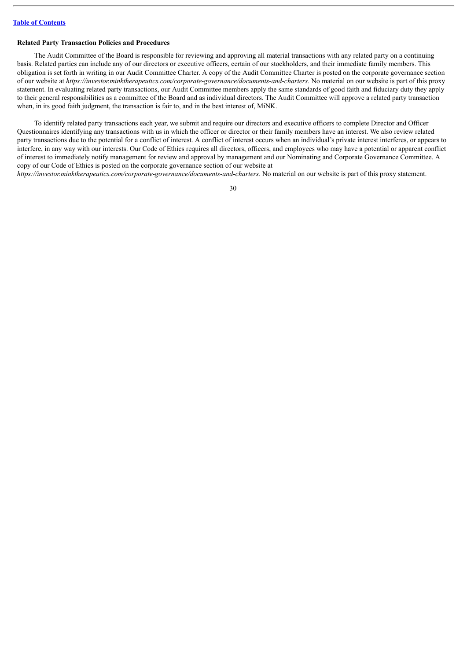#### **Related Party Transaction Policies and Procedures**

The Audit Committee of the Board is responsible for reviewing and approving all material transactions with any related party on a continuing basis. Related parties can include any of our directors or executive officers, certain of our stockholders, and their immediate family members. This obligation is set forth in writing in our Audit Committee Charter. A copy of the Audit Committee Charter is posted on the corporate governance section of our website at *https://investor.minktherapeutics.com/corporate-governance/documents-and-charters*. No material on our website is part of this proxy statement. In evaluating related party transactions, our Audit Committee members apply the same standards of good faith and fiduciary duty they apply to their general responsibilities as a committee of the Board and as individual directors. The Audit Committee will approve a related party transaction when, in its good faith judgment, the transaction is fair to, and in the best interest of, MiNK.

To identify related party transactions each year, we submit and require our directors and executive officers to complete Director and Officer Questionnaires identifying any transactions with us in which the officer or director or their family members have an interest. We also review related party transactions due to the potential for a conflict of interest. A conflict of interest occurs when an individual's private interest interferes, or appears to interfere, in any way with our interests. Our Code of Ethics requires all directors, officers, and employees who may have a potential or apparent conflict of interest to immediately notify management for review and approval by management and our Nominating and Corporate Governance Committee. A copy of our Code of Ethics is posted on the corporate governance section of our website at

*https://investor.minktherapeutics.com/corporate-governance/documents-and-charters*. No material on our website is part of this proxy statement.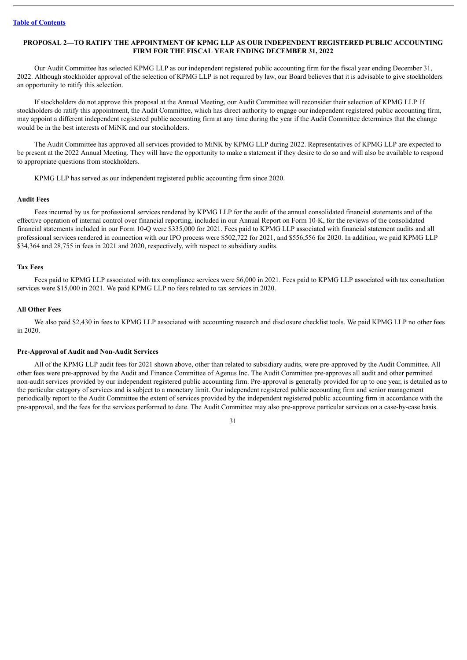# <span id="page-33-0"></span>**PROPOSAL 2—TO RATIFY THE APPOINTMENT OF KPMG LLP AS OUR INDEPENDENT REGISTERED PUBLIC ACCOUNTING FIRM FOR THE FISCAL YEAR ENDING DECEMBER 31, 2022**

Our Audit Committee has selected KPMG LLP as our independent registered public accounting firm for the fiscal year ending December 31, 2022. Although stockholder approval of the selection of KPMG LLP is not required by law, our Board believes that it is advisable to give stockholders an opportunity to ratify this selection.

If stockholders do not approve this proposal at the Annual Meeting, our Audit Committee will reconsider their selection of KPMG LLP. If stockholders do ratify this appointment, the Audit Committee, which has direct authority to engage our independent registered public accounting firm, may appoint a different independent registered public accounting firm at any time during the year if the Audit Committee determines that the change would be in the best interests of MiNK and our stockholders.

The Audit Committee has approved all services provided to MiNK by KPMG LLP during 2022. Representatives of KPMG LLP are expected to be present at the 2022 Annual Meeting. They will have the opportunity to make a statement if they desire to do so and will also be available to respond to appropriate questions from stockholders.

KPMG LLP has served as our independent registered public accounting firm since 2020.

#### **Audit Fees**

Fees incurred by us for professional services rendered by KPMG LLP for the audit of the annual consolidated financial statements and of the effective operation of internal control over financial reporting, included in our Annual Report on Form 10-K, for the reviews of the consolidated financial statements included in our Form 10-Q were \$335,000 for 2021. Fees paid to KPMG LLP associated with financial statement audits and all professional services rendered in connection with our IPO process were \$502,722 for 2021, and \$556,556 for 2020. In addition, we paid KPMG LLP \$34,364 and 28,755 in fees in 2021 and 2020, respectively, with respect to subsidiary audits.

#### **Tax Fees**

Fees paid to KPMG LLP associated with tax compliance services were \$6,000 in 2021. Fees paid to KPMG LLP associated with tax consultation services were \$15,000 in 2021. We paid KPMG LLP no fees related to tax services in 2020.

#### **All Other Fees**

We also paid \$2,430 in fees to KPMG LLP associated with accounting research and disclosure checklist tools. We paid KPMG LLP no other fees in 2020.

#### **Pre-Approval of Audit and Non-Audit Services**

All of the KPMG LLP audit fees for 2021 shown above, other than related to subsidiary audits, were pre-approved by the Audit Committee. All other fees were pre-approved by the Audit and Finance Committee of Agenus Inc. The Audit Committee pre-approves all audit and other permitted non-audit services provided by our independent registered public accounting firm. Pre-approval is generally provided for up to one year, is detailed as to the particular category of services and is subject to a monetary limit. Our independent registered public accounting firm and senior management periodically report to the Audit Committee the extent of services provided by the independent registered public accounting firm in accordance with the pre-approval, and the fees for the services performed to date. The Audit Committee may also pre-approve particular services on a case-by-case basis.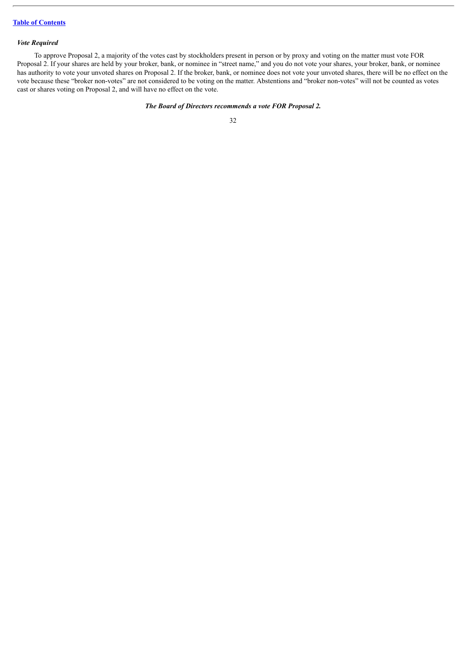## *Vote Required*

To approve Proposal 2, a majority of the votes cast by stockholders present in person or by proxy and voting on the matter must vote FOR Proposal 2. If your shares are held by your broker, bank, or nominee in "street name," and you do not vote your shares, your broker, bank, or nominee has authority to vote your unvoted shares on Proposal 2. If the broker, bank, or nominee does not vote your unvoted shares, there will be no effect on the vote because these "broker non-votes" are not considered to be voting on the matter. Abstentions and "broker non-votes" will not be counted as votes cast or shares voting on Proposal 2, and will have no effect on the vote.

# *The Board of Directors recommends a vote FOR Proposal 2.*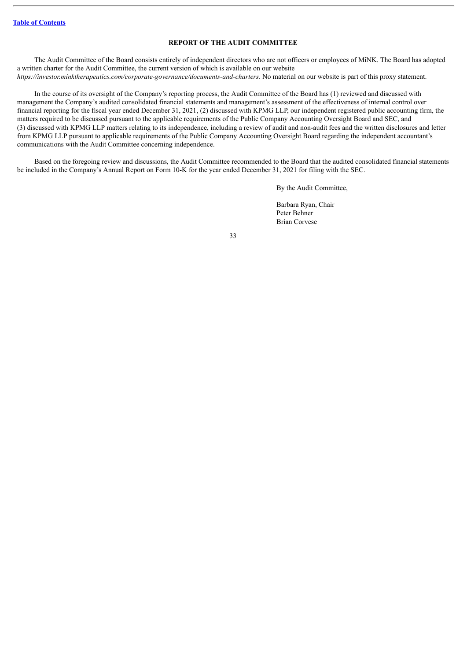# **REPORT OF THE AUDIT COMMITTEE**

<span id="page-35-0"></span>The Audit Committee of the Board consists entirely of independent directors who are not officers or employees of MiNK. The Board has adopted a written charter for the Audit Committee, the current version of which is available on our website *https://investor.minktherapeutics.com/corporate-governance/documents-and-charters*. No material on our website is part of this proxy statement.

In the course of its oversight of the Company's reporting process, the Audit Committee of the Board has (1) reviewed and discussed with management the Company's audited consolidated financial statements and management's assessment of the effectiveness of internal control over financial reporting for the fiscal year ended December 31, 2021, (2) discussed with KPMG LLP, our independent registered public accounting firm, the matters required to be discussed pursuant to the applicable requirements of the Public Company Accounting Oversight Board and SEC, and (3) discussed with KPMG LLP matters relating to its independence, including a review of audit and non-audit fees and the written disclosures and letter from KPMG LLP pursuant to applicable requirements of the Public Company Accounting Oversight Board regarding the independent accountant's communications with the Audit Committee concerning independence.

Based on the foregoing review and discussions, the Audit Committee recommended to the Board that the audited consolidated financial statements be included in the Company's Annual Report on Form 10-K for the year ended December 31, 2021 for filing with the SEC.

By the Audit Committee,

Barbara Ryan, Chair Peter Behner Brian Corvese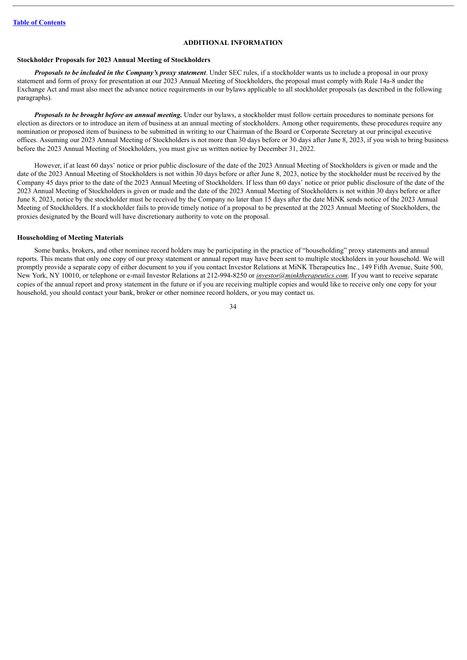# **ADDITIONAL INFORMATION**

#### <span id="page-36-0"></span>**Stockholder Proposals for 2023 Annual Meeting of Stockholders**

*Proposals to be included in the Company's proxy statement*. Under SEC rules, if a stockholder wants us to include a proposal in our proxy statement and form of proxy for presentation at our 2023 Annual Meeting of Stockholders, the proposal must comply with Rule 14a-8 under the Exchange Act and must also meet the advance notice requirements in our bylaws applicable to all stockholder proposals (as described in the following paragraphs).

*Proposals to be brought before an annual meeting.* Under our bylaws, a stockholder must follow certain procedures to nominate persons for election as directors or to introduce an item of business at an annual meeting of stockholders. Among other requirements, these procedures require any nomination or proposed item of business to be submitted in writing to our Chairman of the Board or Corporate Secretary at our principal executive offices. Assuming our 2023 Annual Meeting of Stockholders is not more than 30 days before or 30 days after June 8, 2023, if you wish to bring business before the 2023 Annual Meeting of Stockholders, you must give us written notice by December 31, 2022.

However, if at least 60 days' notice or prior public disclosure of the date of the 2023 Annual Meeting of Stockholders is given or made and the date of the 2023 Annual Meeting of Stockholders is not within 30 days before or after June 8, 2023, notice by the stockholder must be received by the Company 45 days prior to the date of the 2023 Annual Meeting of Stockholders. If less than 60 days' notice or prior public disclosure of the date of the 2023 Annual Meeting of Stockholders is given or made and the date of the 2023 Annual Meeting of Stockholders is not within 30 days before or after June 8, 2023, notice by the stockholder must be received by the Company no later than 15 days after the date MiNK sends notice of the 2023 Annual Meeting of Stockholders. If a stockholder fails to provide timely notice of a proposal to be presented at the 2023 Annual Meeting of Stockholders, the proxies designated by the Board will have discretionary authority to vote on the proposal.

#### **Householding of Meeting Materials**

Some banks, brokers, and other nominee record holders may be participating in the practice of "householding" proxy statements and annual reports. This means that only one copy of our proxy statement or annual report may have been sent to multiple stockholders in your household. We will promptly provide a separate copy of either document to you if you contact Investor Relations at MiNK Therapeutics Inc., 149 Fifth Avenue, Suite 500, New York, NY 10010, or telephone or e-mail Investor Relations at 212-994-8250 or *investor@minktherapeutics.com*. If you want to receive separate copies of the annual report and proxy statement in the future or if you are receiving multiple copies and would like to receive only one copy for your household, you should contact your bank, broker or other nominee record holders, or you may contact us.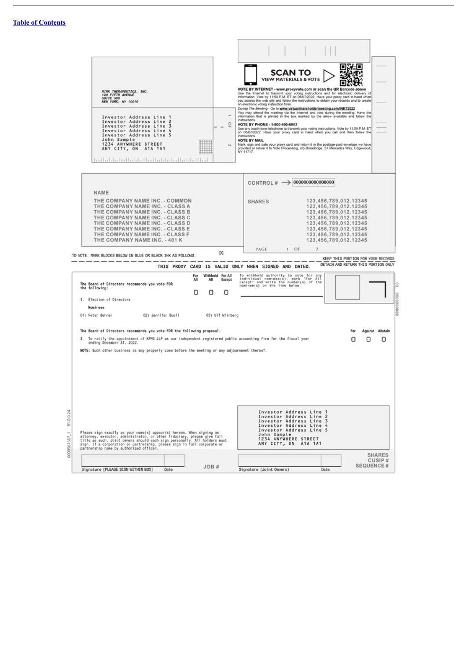0000561567\_1 81.0.0.24

| <b>MINK THERAPEUTICS, INC.</b><br>149 FIFTH AVENUE<br>SUITE 500<br>NEW YORK, NY 10010                                                                                                                                                                                                                                                                                | SCAN TO<br><b>VIEW MATERIALS &amp; VOTE</b><br>VOTE BY INTERNET - www.proxyvote.com or scan the QR Barcode above<br>Use the Internet to transmit your voting instructions and for electronic delivery of<br>information. Vote by 11:59 P.M. ET on 06/07/2022. Have your proxy card in hand when<br>you access the web site and follow the instructions to obtain your records and to create<br>an electronic voting instruction form.                                                                                                                                                                                                                                                                                                                 |
|----------------------------------------------------------------------------------------------------------------------------------------------------------------------------------------------------------------------------------------------------------------------------------------------------------------------------------------------------------------------|-------------------------------------------------------------------------------------------------------------------------------------------------------------------------------------------------------------------------------------------------------------------------------------------------------------------------------------------------------------------------------------------------------------------------------------------------------------------------------------------------------------------------------------------------------------------------------------------------------------------------------------------------------------------------------------------------------------------------------------------------------|
| Investor Address Line 1<br>Investor Address Line 2<br>Investor Address Line 3<br>Investor Address Line 4<br>Investor Address Line 5<br>John Sample<br>1234 ANYWHERE STREET<br>ANY CITY, ON A1A 1A1<br>hadla lababudla lababadla lababudla lababba                                                                                                                    | During The Meeting - Go to www.virtualshareholdermeeting.com/INKT2022<br>You may attend the meeting via the Internet and vote during the meeting. Have the<br>$\rightarrow$<br>information that is printed in the box marked by the arrow available and follow the<br>instructions.<br>읔<br>VOTE BY PHONE - 1-800-690-6903<br>Use any touch-tone telephone to transmit your voting instructions. Vote by 11:59 P.M. ET<br>on 06/07/2022. Have your proxy card in hand when you call and then follow the<br>instructions.<br><b>VOTE BY MAIL</b><br>Mark, sign and date your proxy card and return it in the postage-paid envelope we have<br>bJ.<br>provided or return it to Vote Processing, c/o Broadridge, 51 Mercedes Way, Edgewood,<br>NY 11717. |
| <b>NAME</b><br>THE COMPANY NAME INC. - COMMON<br>THE COMPANY NAME INC. - CLASS A<br>THE COMPANY NAME INC. - CLASS B<br>THE COMPANY NAME INC. - CLASS C<br>THE COMPANY NAME INC. - CLASS D<br>THE COMPANY NAME INC. - CLASS E<br>THE COMPANY NAME INC. - CLASS F<br>THE COMPANY NAME INC. - 401 K<br>x<br>TO VOTE, MARK BLOCKS BELOW IN BLUE OR BLACK INK AS FOLLOWS: | CONTROL# $\rightarrow$ 00000000000000000<br>123,456,789,012.12345<br><b>SHARES</b><br>123,456,789,012.12345<br>123,456,789,012.12345<br>123,456,789,012.12345<br>123,456,789,012.12345<br>123.456.789.012.12345<br>123,456,789,012.12345<br>123,456,789,012.12345<br>$1$ OF<br>$\mathbf{2}$<br>PAGE                                                                                                                                                                                                                                                                                                                                                                                                                                                   |
|                                                                                                                                                                                                                                                                                                                                                                      | KEEP THIS PORTION FOR YOUR RECORDS<br>DETACH AND RETURN THIS PORTION ONLY<br>THIS PROXY CARD IS VALID ONLY WHEN SIGNED AND DATED.                                                                                                                                                                                                                                                                                                                                                                                                                                                                                                                                                                                                                     |
| Withhold<br>For<br>All<br>All<br>The Board of Directors recommends you vote FOR<br>the following:<br>О<br>Ο<br>1. Election of Directors<br>Nominees                                                                                                                                                                                                                  | For All<br>To withhold authority to vote for any<br>individual nominee(s), mark "For All<br>Except" and write the number(s) of the<br>Except<br>nominee(s) on the line below.<br>Ο                                                                                                                                                                                                                                                                                                                                                                                                                                                                                                                                                                    |
| 01) Peter Behner<br>02) Jennifer Buell<br>03) Ulf Wiinberg                                                                                                                                                                                                                                                                                                           |                                                                                                                                                                                                                                                                                                                                                                                                                                                                                                                                                                                                                                                                                                                                                       |
| The Board of Directors recommends you vote FOR the following proposal:                                                                                                                                                                                                                                                                                               | Against Abstain                                                                                                                                                                                                                                                                                                                                                                                                                                                                                                                                                                                                                                                                                                                                       |
| 2. To ratify the appointment of KPMG LLP as our independent registered public accounting firm for the fiscal year<br>ending December 31, 2022.<br>MOTE: Such other business as may properly come before the meeting or any adjournment thereof.                                                                                                                      | Π<br>U<br>U                                                                                                                                                                                                                                                                                                                                                                                                                                                                                                                                                                                                                                                                                                                                           |
| Please sign exactly as your name(s) appear(s) hereon. When signing as<br>attorney, executor, administrator, or other fiduciary, please give full<br>title as such. Joint owners should each sign personally. All holders must<br>sign. If a corporation or partnership, please sign in full corporate or                                                             | Investor Address Line 1<br>Investor Address Line 2<br>Investor Address Line 3<br>Investor Address Line 4<br>Investor Address Line 5<br>John Sample<br>1234 ANYWHERE STREET<br>ANY CITY, ON A1A 1A1                                                                                                                                                                                                                                                                                                                                                                                                                                                                                                                                                    |